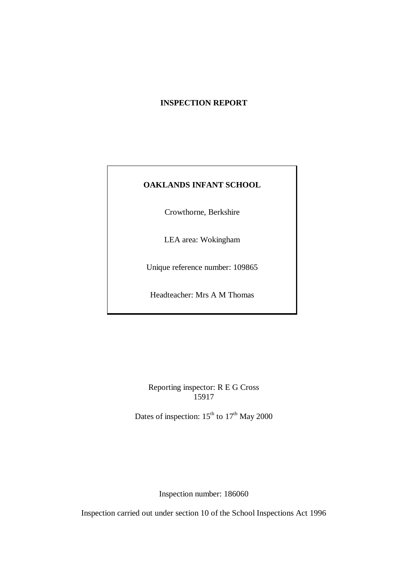## **INSPECTION REPORT**

## **OAKLANDS INFANT SCHOOL**

Crowthorne, Berkshire

LEA area: Wokingham

Unique reference number: 109865

Headteacher: Mrs A M Thomas

Reporting inspector: R E G Cross 15917

Dates of inspection:  $15^{th}$  to  $17^{th}$  May 2000

Inspection number: 186060

Inspection carried out under section 10 of the School Inspections Act 1996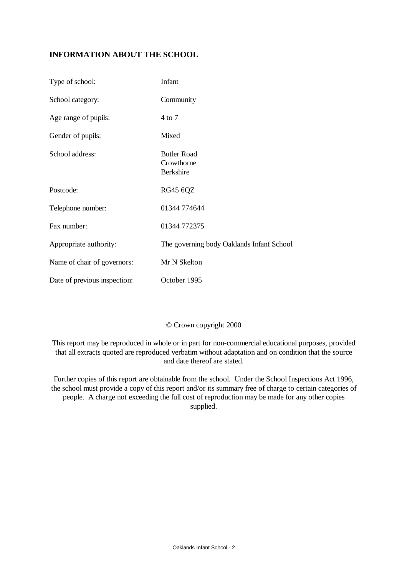## **INFORMATION ABOUT THE SCHOOL**

| Type of school:              | Infant                                               |
|------------------------------|------------------------------------------------------|
| School category:             | Community                                            |
| Age range of pupils:         | 4 to 7                                               |
| Gender of pupils:            | Mixed                                                |
| School address:              | <b>Butler Road</b><br>Crowthorne<br><b>Berkshire</b> |
| Postcode:                    | <b>RG45 6QZ</b>                                      |
| Telephone number:            | 01344 774644                                         |
| Fax number:                  | 01344 772375                                         |
| Appropriate authority:       | The governing body Oaklands Infant School            |
| Name of chair of governors:  | Mr N Skelton                                         |
| Date of previous inspection: | October 1995                                         |

## © Crown copyright 2000

This report may be reproduced in whole or in part for non-commercial educational purposes, provided that all extracts quoted are reproduced verbatim without adaptation and on condition that the source and date thereof are stated.

Further copies of this report are obtainable from the school. Under the School Inspections Act 1996, the school must provide a copy of this report and/or its summary free of charge to certain categories of people. A charge not exceeding the full cost of reproduction may be made for any other copies supplied.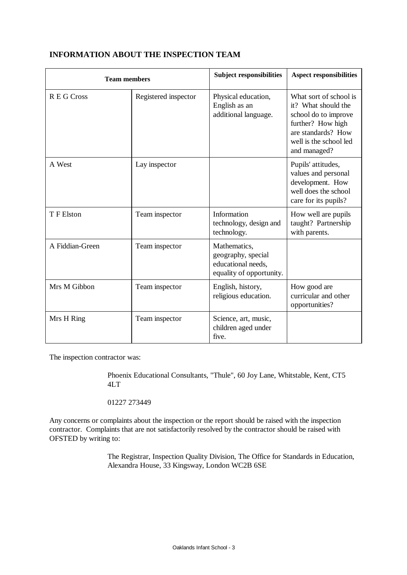| <b>Team members</b> |                      | <b>Subject responsibilities</b>                                                      | <b>Aspect responsibilities</b>                                                                                                                             |
|---------------------|----------------------|--------------------------------------------------------------------------------------|------------------------------------------------------------------------------------------------------------------------------------------------------------|
| R E G Cross         | Registered inspector | Physical education,<br>English as an<br>additional language.                         | What sort of school is<br>it? What should the<br>school do to improve<br>further? How high<br>are standards? How<br>well is the school led<br>and managed? |
| A West              | Lay inspector        |                                                                                      | Pupils' attitudes,<br>values and personal<br>development. How<br>well does the school<br>care for its pupils?                                              |
| T F Elston          | Team inspector       | Information<br>technology, design and<br>technology.                                 | How well are pupils<br>taught? Partnership<br>with parents.                                                                                                |
| A Fiddian-Green     | Team inspector       | Mathematics,<br>geography, special<br>educational needs,<br>equality of opportunity. |                                                                                                                                                            |
| Mrs M Gibbon        | Team inspector       | English, history,<br>religious education.                                            | How good are<br>curricular and other<br>opportunities?                                                                                                     |
| Mrs H Ring          | Team inspector       | Science, art, music,<br>children aged under<br>five.                                 |                                                                                                                                                            |

## **INFORMATION ABOUT THE INSPECTION TEAM**

The inspection contractor was:

Phoenix Educational Consultants, "Thule", 60 Joy Lane, Whitstable, Kent, CT5 4LT

01227 273449

Any concerns or complaints about the inspection or the report should be raised with the inspection contractor. Complaints that are not satisfactorily resolved by the contractor should be raised with OFSTED by writing to:

> The Registrar, Inspection Quality Division, The Office for Standards in Education, Alexandra House, 33 Kingsway, London WC2B 6SE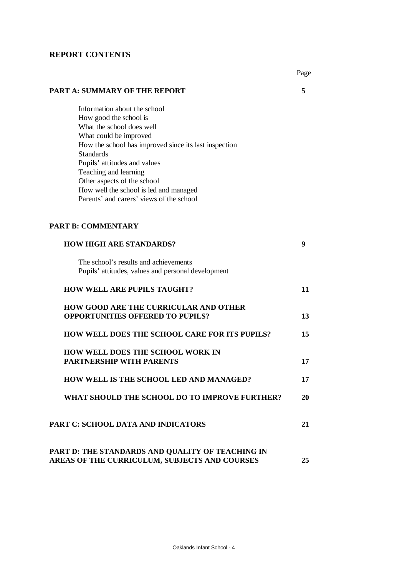### **REPORT CONTENTS**

Page

### **PART A: SUMMARY OF THE REPORT 5**

Information about the school How good the school is What the school does well What could be improved How the school has improved since its last inspection Standards Pupils' attitudes and values Teaching and learning Other aspects of the school How well the school is led and managed Parents' and carers' views of the school

### **PART B: COMMENTARY**

| <b>HOW HIGH ARE STANDARDS?</b>                                                              | 9  |
|---------------------------------------------------------------------------------------------|----|
| The school's results and achievements<br>Pupils' attitudes, values and personal development |    |
| <b>HOW WELL ARE PUPILS TAUGHT?</b>                                                          | 11 |
| <b>HOW GOOD ARE THE CURRICULAR AND OTHER</b><br><b>OPPORTUNITIES OFFERED TO PUPILS?</b>     | 13 |
| HOW WELL DOES THE SCHOOL CARE FOR ITS PUPILS?                                               | 15 |
| <b>HOW WELL DOES THE SCHOOL WORK IN</b><br><b>PARTNERSHIP WITH PARENTS</b>                  | 17 |
| HOW WELL IS THE SCHOOL LED AND MANAGED?                                                     | 17 |
| WHAT SHOULD THE SCHOOL DO TO IMPROVE FURTHER?                                               | 20 |
| PART C: SCHOOL DATA AND INDICATORS                                                          | 21 |
| PART D: THE STANDARDS AND QUALITY OF TEACHING IN                                            |    |

# **AREAS OF THE CURRICULUM, SUBJECTS AND COURSES 25**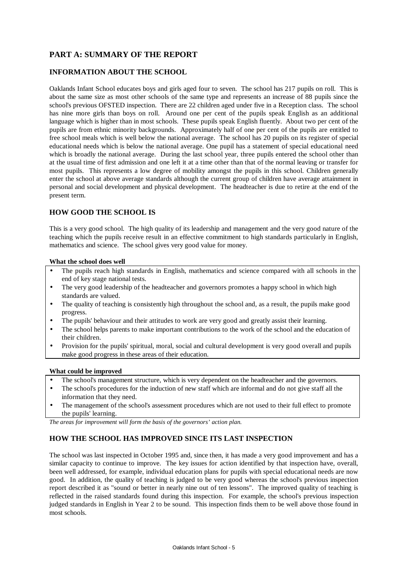## **PART A: SUMMARY OF THE REPORT**

### **INFORMATION ABOUT THE SCHOOL**

Oaklands Infant School educates boys and girls aged four to seven. The school has 217 pupils on roll. This is about the same size as most other schools of the same type and represents an increase of 88 pupils since the school's previous OFSTED inspection. There are 22 children aged under five in a Reception class. The school has nine more girls than boys on roll. Around one per cent of the pupils speak English as an additional language which is higher than in most schools. These pupils speak English fluently. About two per cent of the pupils are from ethnic minority backgrounds. Approximately half of one per cent of the pupils are entitled to free school meals which is well below the national average. The school has 20 pupils on its register of special educational needs which is below the national average. One pupil has a statement of special educational need which is broadly the national average. During the last school year, three pupils entered the school other than at the usual time of first admission and one left it at a time other than that of the normal leaving or transfer for most pupils. This represents a low degree of mobility amongst the pupils in this school. Children generally enter the school at above average standards although the current group of children have average attainment in personal and social development and physical development. The headteacher is due to retire at the end of the present term.

### **HOW GOOD THE SCHOOL IS**

This is a very good school. The high quality of its leadership and management and the very good nature of the teaching which the pupils receive result in an effective commitment to high standards particularly in English, mathematics and science. The school gives very good value for money.

### **What the school does well**

- The pupils reach high standards in English, mathematics and science compared with all schools in the end of key stage national tests.
- The very good leadership of the headteacher and governors promotes a happy school in which high standards are valued.
- The quality of teaching is consistently high throughout the school and, as a result, the pupils make good progress.
- The pupils' behaviour and their attitudes to work are very good and greatly assist their learning.
- The school helps parents to make important contributions to the work of the school and the education of their children.
- Provision for the pupils' spiritual, moral, social and cultural development is very good overall and pupils make good progress in these areas of their education.

### **What could be improved**

- The school's management structure, which is very dependent on the headteacher and the governors.
- The school's procedures for the induction of new staff which are informal and do not give staff all the information that they need.
- The management of the school's assessment procedures which are not used to their full effect to promote the pupils' learning.

*The areas for improvement will form the basis of the governors' action plan.*

## **HOW THE SCHOOL HAS IMPROVED SINCE ITS LAST INSPECTION**

The school was last inspected in October 1995 and, since then, it has made a very good improvement and has a similar capacity to continue to improve. The key issues for action identified by that inspection have, overall, been well addressed, for example, individual education plans for pupils with special educational needs are now good. In addition, the quality of teaching is judged to be very good whereas the school's previous inspection report described it as "sound or better in nearly nine out of ten lessons". The improved quality of teaching is reflected in the raised standards found during this inspection. For example, the school's previous inspection judged standards in English in Year 2 to be sound. This inspection finds them to be well above those found in most schools.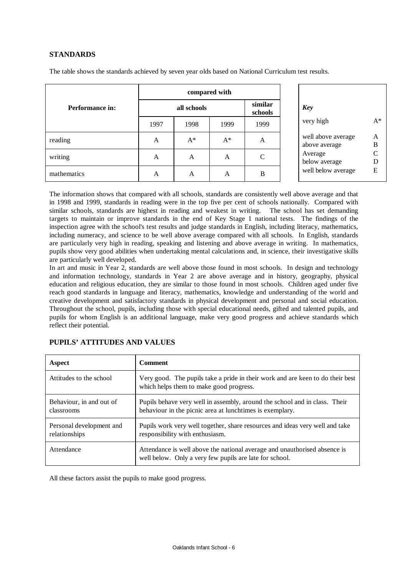### **STANDARDS**

|                 | compared with |       |                    |              |                                     |                   |
|-----------------|---------------|-------|--------------------|--------------|-------------------------------------|-------------------|
| Performance in: | all schools   |       | similar<br>schools | <b>Key</b>   |                                     |                   |
|                 | 1997          | 1998  | 1999               | 1999         | very high                           | $A^*$             |
| reading         | A             | $A^*$ | $A^*$              | А            | well above average<br>above average | A<br>B            |
| writing         | A             | A     | A                  | $\mathsf{C}$ | Average<br>below average            | $\mathsf{C}$<br>D |
| mathematics     | A             | A     | A                  | B            | well below average                  | E                 |

The table shows the standards achieved by seven year olds based on National Curriculum test results.

The information shows that compared with all schools, standards are consistently well above average and that in 1998 and 1999, standards in reading were in the top five per cent of schools nationally. Compared with similar schools, standards are highest in reading and weakest in writing. The school has set demanding targets to maintain or improve standards in the end of Key Stage 1 national tests. The findings of the inspection agree with the school's test results and judge standards in English, including literacy, mathematics, including numeracy, and science to be well above average compared with all schools. In English, standards are particularly very high in reading, speaking and listening and above average in writing. In mathematics, pupils show very good abilities when undertaking mental calculations and, in science, their investigative skills are particularly well developed.

In art and music in Year 2, standards are well above those found in most schools. In design and technology and information technology, standards in Year 2 are above average and in history, geography, physical education and religious education, they are similar to those found in most schools. Children aged under five reach good standards in language and literacy, mathematics, knowledge and understanding of the world and creative development and satisfactory standards in physical development and personal and social education. Throughout the school, pupils, including those with special educational needs, gifted and talented pupils, and pupils for whom English is an additional language, make very good progress and achieve standards which reflect their potential.

| Aspect                                    | <b>Comment</b>                                                                                                                         |
|-------------------------------------------|----------------------------------------------------------------------------------------------------------------------------------------|
| Attitudes to the school                   | Very good. The pupils take a pride in their work and are keen to do their best<br>which helps them to make good progress.              |
| Behaviour, in and out of<br>classrooms    | Pupils behave very well in assembly, around the school and in class. Their<br>behaviour in the picnic area at lunchtimes is exemplary. |
| Personal development and<br>relationships | Pupils work very well together, share resources and ideas very well and take<br>responsibility with enthusiasm.                        |
| Attendance                                | Attendance is well above the national average and unauthorised absence is<br>well below. Only a very few pupils are late for school.   |

### **PUPILS' ATTITUDES AND VALUES**

All these factors assist the pupils to make good progress.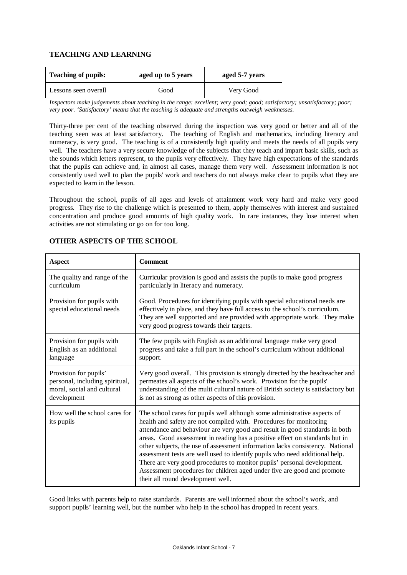## **TEACHING AND LEARNING**

| <b>Teaching of pupils:</b> | aged up to 5 years | aged 5-7 years |  |
|----------------------------|--------------------|----------------|--|
| Lessons seen overall       | Good               | Very Good      |  |

*Inspectors make judgements about teaching in the range: excellent; very good; good; satisfactory; unsatisfactory; poor; very poor. 'Satisfactory' means that the teaching is adequate and strengths outweigh weaknesses.*

Thirty-three per cent of the teaching observed during the inspection was very good or better and all of the teaching seen was at least satisfactory. The teaching of English and mathematics, including literacy and numeracy, is very good. The teaching is of a consistently high quality and meets the needs of all pupils very well. The teachers have a very secure knowledge of the subjects that they teach and impart basic skills, such as the sounds which letters represent, to the pupils very effectively. They have high expectations of the standards that the pupils can achieve and, in almost all cases, manage them very well. Assessment information is not consistently used well to plan the pupils' work and teachers do not always make clear to pupils what they are expected to learn in the lesson.

Throughout the school, pupils of all ages and levels of attainment work very hard and make very good progress. They rise to the challenge which is presented to them, apply themselves with interest and sustained concentration and produce good amounts of high quality work. In rare instances, they lose interest when activities are not stimulating or go on for too long.

| <b>Aspect</b>                                          | <b>Comment</b>                                                                                                                                                                                                                                                                                                                                                                                                                                                                                                                                                                                                                                                          |
|--------------------------------------------------------|-------------------------------------------------------------------------------------------------------------------------------------------------------------------------------------------------------------------------------------------------------------------------------------------------------------------------------------------------------------------------------------------------------------------------------------------------------------------------------------------------------------------------------------------------------------------------------------------------------------------------------------------------------------------------|
| The quality and range of the                           | Curricular provision is good and assists the pupils to make good progress                                                                                                                                                                                                                                                                                                                                                                                                                                                                                                                                                                                               |
| curriculum                                             | particularly in literacy and numeracy.                                                                                                                                                                                                                                                                                                                                                                                                                                                                                                                                                                                                                                  |
| Provision for pupils with<br>special educational needs | Good. Procedures for identifying pupils with special educational needs are<br>effectively in place, and they have full access to the school's curriculum.<br>They are well supported and are provided with appropriate work. They make<br>very good progress towards their targets.                                                                                                                                                                                                                                                                                                                                                                                     |
| Provision for pupils with                              | The few pupils with English as an additional language make very good                                                                                                                                                                                                                                                                                                                                                                                                                                                                                                                                                                                                    |
| English as an additional                               | progress and take a full part in the school's curriculum without additional                                                                                                                                                                                                                                                                                                                                                                                                                                                                                                                                                                                             |
| language                                               | support.                                                                                                                                                                                                                                                                                                                                                                                                                                                                                                                                                                                                                                                                |
| Provision for pupils'                                  | Very good overall. This provision is strongly directed by the headteacher and                                                                                                                                                                                                                                                                                                                                                                                                                                                                                                                                                                                           |
| personal, including spiritual,                         | permeates all aspects of the school's work. Provision for the pupils'                                                                                                                                                                                                                                                                                                                                                                                                                                                                                                                                                                                                   |
| moral, social and cultural                             | understanding of the multi cultural nature of British society is satisfactory but                                                                                                                                                                                                                                                                                                                                                                                                                                                                                                                                                                                       |
| development                                            | is not as strong as other aspects of this provision.                                                                                                                                                                                                                                                                                                                                                                                                                                                                                                                                                                                                                    |
| How well the school cares for<br>its pupils            | The school cares for pupils well although some administrative aspects of<br>health and safety are not complied with. Procedures for monitoring<br>attendance and behaviour are very good and result in good standards in both<br>areas. Good assessment in reading has a positive effect on standards but in<br>other subjects, the use of assessment information lacks consistency. National<br>assessment tests are well used to identify pupils who need additional help.<br>There are very good procedures to monitor pupils' personal development.<br>Assessment procedures for children aged under five are good and promote<br>their all round development well. |

### **OTHER ASPECTS OF THE SCHOOL**

Good links with parents help to raise standards. Parents are well informed about the school's work, and support pupils' learning well, but the number who help in the school has dropped in recent years.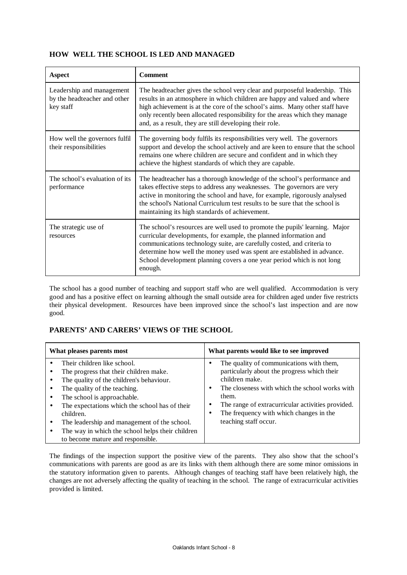## **HOW WELL THE SCHOOL IS LED AND MANAGED**

| <b>Aspect</b>                                                          | <b>Comment</b>                                                                                                                                                                                                                                                                                                                                                                             |
|------------------------------------------------------------------------|--------------------------------------------------------------------------------------------------------------------------------------------------------------------------------------------------------------------------------------------------------------------------------------------------------------------------------------------------------------------------------------------|
| Leadership and management<br>by the headteacher and other<br>key staff | The headteacher gives the school very clear and purposeful leadership. This<br>results in an atmosphere in which children are happy and valued and where<br>high achievement is at the core of the school's aims. Many other staff have<br>only recently been allocated responsibility for the areas which they manage<br>and, as a result, they are still developing their role.          |
| How well the governors fulfil<br>their responsibilities                | The governing body fulfils its responsibilities very well. The governors<br>support and develop the school actively and are keen to ensure that the school<br>remains one where children are secure and confident and in which they<br>achieve the highest standards of which they are capable.                                                                                            |
| The school's evaluation of its<br>performance                          | The headteacher has a thorough knowledge of the school's performance and<br>takes effective steps to address any weaknesses. The governors are very<br>active in monitoring the school and have, for example, rigorously analysed<br>the school's National Curriculum test results to be sure that the school is<br>maintaining its high standards of achievement.                         |
| The strategic use of<br>resources                                      | The school's resources are well used to promote the pupils' learning. Major<br>curricular developments, for example, the planned information and<br>communications technology suite, are carefully costed, and criteria to<br>determine how well the money used was spent are established in advance.<br>School development planning covers a one year period which is not long<br>enough. |

The school has a good number of teaching and support staff who are well qualified. Accommodation is very good and has a positive effect on learning although the small outside area for children aged under five restricts their physical development. Resources have been improved since the school's last inspection and are now good.

## **PARENTS' AND CARERS' VIEWS OF THE SCHOOL**

| What pleases parents most                                                                                                                                                                                                                                                                                                                                                                | What parents would like to see improved                                                                                                                                                                                                                                                       |  |  |  |
|------------------------------------------------------------------------------------------------------------------------------------------------------------------------------------------------------------------------------------------------------------------------------------------------------------------------------------------------------------------------------------------|-----------------------------------------------------------------------------------------------------------------------------------------------------------------------------------------------------------------------------------------------------------------------------------------------|--|--|--|
| Their children like school.<br>The progress that their children make.<br>The quality of the children's behaviour.<br>The quality of the teaching.<br>The school is approachable.<br>The expectations which the school has of their<br>children.<br>The leadership and management of the school.<br>The way in which the school helps their children<br>to become mature and responsible. | The quality of communications with them,<br>particularly about the progress which their<br>children make.<br>The closeness with which the school works with<br>them.<br>The range of extracurricular activities provided.<br>The frequency with which changes in the<br>teaching staff occur. |  |  |  |

The findings of the inspection support the positive view of the parents. They also show that the school's communications with parents are good as are its links with them although there are some minor omissions in the statutory information given to parents. Although changes of teaching staff have been relatively high, the changes are not adversely affecting the quality of teaching in the school. The range of extracurricular activities provided is limited.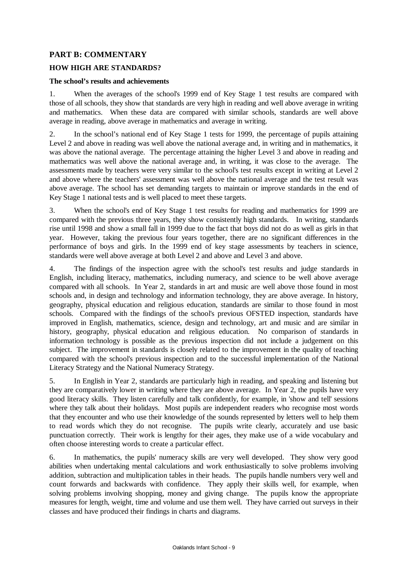## **PART B: COMMENTARY**

## **HOW HIGH ARE STANDARDS?**

### **The school's results and achievements**

1. When the averages of the school's 1999 end of Key Stage 1 test results are compared with those of all schools, they show that standards are very high in reading and well above average in writing and mathematics. When these data are compared with similar schools, standards are well above average in reading, above average in mathematics and average in writing.

2. In the school's national end of Key Stage 1 tests for 1999, the percentage of pupils attaining Level 2 and above in reading was well above the national average and, in writing and in mathematics, it was above the national average. The percentage attaining the higher Level 3 and above in reading and mathematics was well above the national average and, in writing, it was close to the average. The assessments made by teachers were very similar to the school's test results except in writing at Level 2 and above where the teachers' assessment was well above the national average and the test result was above average. The school has set demanding targets to maintain or improve standards in the end of Key Stage 1 national tests and is well placed to meet these targets.

3. When the school's end of Key Stage 1 test results for reading and mathematics for 1999 are compared with the previous three years, they show consistently high standards. In writing, standards rise until 1998 and show a small fall in 1999 due to the fact that boys did not do as well as girls in that year. However, taking the previous four years together, there are no significant differences in the performance of boys and girls. In the 1999 end of key stage assessments by teachers in science, standards were well above average at both Level 2 and above and Level 3 and above.

4. The findings of the inspection agree with the school's test results and judge standards in English, including literacy, mathematics, including numeracy, and science to be well above average compared with all schools. In Year 2, standards in art and music are well above those found in most schools and, in design and technology and information technology, they are above average. In history, geography, physical education and religious education, standards are similar to those found in most schools. Compared with the findings of the school's previous OFSTED inspection, standards have improved in English, mathematics, science, design and technology, art and music and are similar in history, geography, physical education and religious education. No comparison of standards in information technology is possible as the previous inspection did not include a judgement on this subject. The improvement in standards is closely related to the improvement in the quality of teaching compared with the school's previous inspection and to the successful implementation of the National Literacy Strategy and the National Numeracy Strategy.

5. In English in Year 2, standards are particularly high in reading, and speaking and listening but they are comparatively lower in writing where they are above average. In Year 2, the pupils have very good literacy skills. They listen carefully and talk confidently, for example, in 'show and tell' sessions where they talk about their holidays. Most pupils are independent readers who recognise most words that they encounter and who use their knowledge of the sounds represented by letters well to help them to read words which they do not recognise. The pupils write clearly, accurately and use basic punctuation correctly. Their work is lengthy for their ages, they make use of a wide vocabulary and often choose interesting words to create a particular effect.

6. In mathematics, the pupils' numeracy skills are very well developed. They show very good abilities when undertaking mental calculations and work enthusiastically to solve problems involving addition, subtraction and multiplication tables in their heads. The pupils handle numbers very well and count forwards and backwards with confidence. They apply their skills well, for example, when solving problems involving shopping, money and giving change. The pupils know the appropriate measures for length, weight, time and volume and use them well. They have carried out surveys in their classes and have produced their findings in charts and diagrams.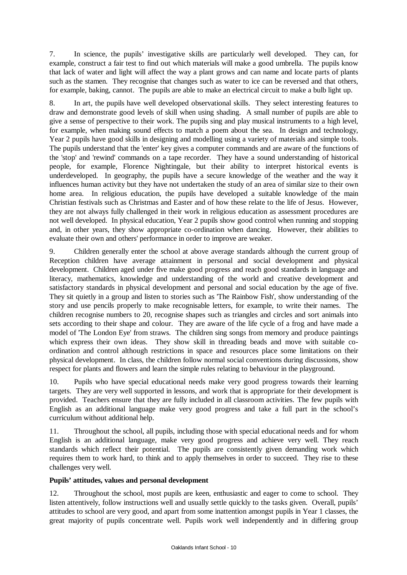7. In science, the pupils' investigative skills are particularly well developed. They can, for example, construct a fair test to find out which materials will make a good umbrella. The pupils know that lack of water and light will affect the way a plant grows and can name and locate parts of plants such as the stamen. They recognise that changes such as water to ice can be reversed and that others, for example, baking, cannot. The pupils are able to make an electrical circuit to make a bulb light up.

8. In art, the pupils have well developed observational skills. They select interesting features to draw and demonstrate good levels of skill when using shading. A small number of pupils are able to give a sense of perspective to their work. The pupils sing and play musical instruments to a high level, for example, when making sound effects to match a poem about the sea. In design and technology, Year 2 pupils have good skills in designing and modelling using a variety of materials and simple tools. The pupils understand that the 'enter' key gives a computer commands and are aware of the functions of the 'stop' and 'rewind' commands on a tape recorder. They have a sound understanding of historical people, for example, Florence Nightingale, but their ability to interpret historical events is underdeveloped. In geography, the pupils have a secure knowledge of the weather and the way it influences human activity but they have not undertaken the study of an area of similar size to their own home area. In religious education, the pupils have developed a suitable knowledge of the main Christian festivals such as Christmas and Easter and of how these relate to the life of Jesus. However, they are not always fully challenged in their work in religious education as assessment procedures are not well developed. In physical education, Year 2 pupils show good control when running and stopping and, in other years, they show appropriate co-ordination when dancing. However, their abilities to evaluate their own and others' performance in order to improve are weaker.

9. Children generally enter the school at above average standards although the current group of Reception children have average attainment in personal and social development and physical development. Children aged under five make good progress and reach good standards in language and literacy, mathematics, knowledge and understanding of the world and creative development and satisfactory standards in physical development and personal and social education by the age of five. They sit quietly in a group and listen to stories such as 'The Rainbow Fish', show understanding of the story and use pencils properly to make recognisable letters, for example, to write their names. The children recognise numbers to 20, recognise shapes such as triangles and circles and sort animals into sets according to their shape and colour. They are aware of the life cycle of a frog and have made a model of 'The London Eye' from straws. The children sing songs from memory and produce paintings which express their own ideas. They show skill in threading beads and move with suitable coordination and control although restrictions in space and resources place some limitations on their physical development. In class, the children follow normal social conventions during discussions, show respect for plants and flowers and learn the simple rules relating to behaviour in the playground.

10. Pupils who have special educational needs make very good progress towards their learning targets. They are very well supported in lessons, and work that is appropriate for their development is provided. Teachers ensure that they are fully included in all classroom activities. The few pupils with English as an additional language make very good progress and take a full part in the school's curriculum without additional help.

11. Throughout the school, all pupils, including those with special educational needs and for whom English is an additional language, make very good progress and achieve very well. They reach standards which reflect their potential. The pupils are consistently given demanding work which requires them to work hard, to think and to apply themselves in order to succeed. They rise to these challenges very well.

### **Pupils' attitudes, values and personal development**

12. Throughout the school, most pupils are keen, enthusiastic and eager to come to school. They listen attentively, follow instructions well and usually settle quickly to the tasks given. Overall, pupils' attitudes to school are very good, and apart from some inattention amongst pupils in Year 1 classes, the great majority of pupils concentrate well. Pupils work well independently and in differing group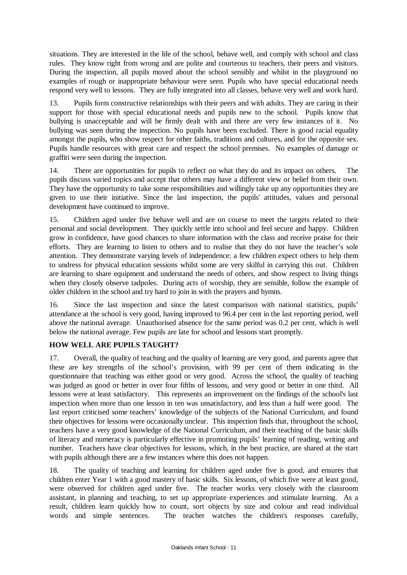situations. They are interested in the life of the school, behave well, and comply with school and class rules. They know right from wrong and are polite and courteous to teachers, their peers and visitors. During the inspection, all pupils moved about the school sensibly and whilst in the playground no examples of rough or inappropriate behaviour were seen. Pupils who have special educational needs respond very well to lessons. They are fully integrated into all classes, behave very well and work hard.

13. Pupils form constructive relationships with their peers and with adults. They are caring in their support for those with special educational needs and pupils new to the school. Pupils know that bullying is unacceptable and will be firmly dealt with and there are very few instances of it. No bullying was seen during the inspection. No pupils have been excluded. There is good racial equality amongst the pupils, who show respect for other faiths, traditions and cultures, and for the opposite sex. Pupils handle resources with great care and respect the school premises. No examples of damage or graffiti were seen during the inspection.

14. There are opportunities for pupils to reflect on what they do and its impact on others. The pupils discuss varied topics and accept that others may have a different view or belief from their own. They have the opportunity to take some responsibilities and willingly take up any opportunities they are given to use their initiative. Since the last inspection, the pupils' attitudes, values and personal development have continued to improve.

15. Children aged under five behave well and are on course to meet the targets related to their personal and social development. They quickly settle into school and feel secure and happy. Children grow in confidence, have good chances to share information with the class and receive praise for their efforts. They are learning to listen to others and to realise that they do not have the teacher's sole attention. They demonstrate varying levels of independence: a few children expect others to help them to undress for physical education sessions whilst some are very skilful in carrying this out. Children are learning to share equipment and understand the needs of others, and show respect to living things when they closely observe tadpoles. During acts of worship, they are sensible, follow the example of older children in the school and try hard to join in with the prayers and hymns.

16. Since the last inspection and since the latest comparison with national statistics, pupils' attendance at the school is very good, having improved to 96.4 per cent in the last reporting period, well above the national average. Unauthorised absence for the same period was 0.2 per cent, which is well below the national average. Few pupils are late for school and lessons start promptly.

## **HOW WELL ARE PUPILS TAUGHT?**

17. Overall, the quality of teaching and the quality of learning are very good, and parents agree that these are key strengths of the school's provision, with 99 per cent of them indicating in the questionnaire that teaching was either good or very good. Across the school, the quality of teaching was judged as good or better in over four fifths of lessons, and very good or better in one third. All lessons were at least satisfactory. This represents an improvement on the findings of the school's last inspection when more than one lesson in ten was unsatisfactory, and less than a half were good. The last report criticised some teachers' knowledge of the subjects of the National Curriculum, and found their objectives for lessons were occasionally unclear. This inspection finds that, throughout the school, teachers have a very good knowledge of the National Curriculum, and their teaching of the basic skills of literacy and numeracy is particularly effective in promoting pupils' learning of reading, writing and number. Teachers have clear objectives for lessons, which, in the best practice, are shared at the start with pupils although there are a few instances where this does not happen.

18. The quality of teaching and learning for children aged under five is good, and ensures that children enter Year 1 with a good mastery of basic skills. Six lessons, of which five were at least good, were observed for children aged under five. The teacher works very closely with the classroom assistant, in planning and teaching, to set up appropriate experiences and stimulate learning. As a result, children learn quickly how to count, sort objects by size and colour and read individual words and simple sentences. The teacher watches the children's responses carefully,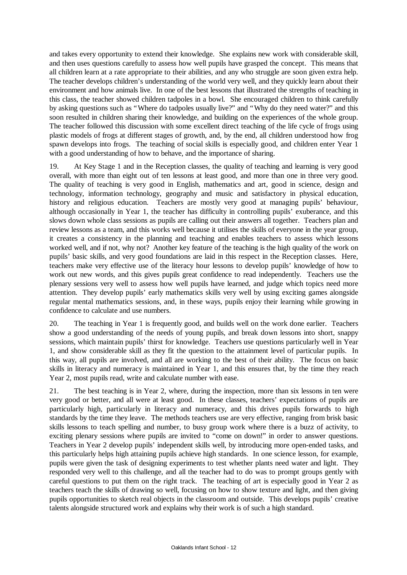and takes every opportunity to extend their knowledge. She explains new work with considerable skill, and then uses questions carefully to assess how well pupils have grasped the concept. This means that all children learn at a rate appropriate to their abilities, and any who struggle are soon given extra help. The teacher develops children's understanding of the world very well, and they quickly learn about their environment and how animals live. In one of the best lessons that illustrated the strengths of teaching in this class, the teacher showed children tadpoles in a bowl. She encouraged children to think carefully by asking questions such as "Where do tadpoles usually live?" and "Why do they need water?" and this soon resulted in children sharing their knowledge, and building on the experiences of the whole group. The teacher followed this discussion with some excellent direct teaching of the life cycle of frogs using plastic models of frogs at different stages of growth, and, by the end, all children understood how frog spawn develops into frogs. The teaching of social skills is especially good, and children enter Year 1 with a good understanding of how to behave, and the importance of sharing.

19. At Key Stage 1 and in the Reception classes, the quality of teaching and learning is very good overall, with more than eight out of ten lessons at least good, and more than one in three very good. The quality of teaching is very good in English, mathematics and art, good in science, design and technology, information technology, geography and music and satisfactory in physical education, history and religious education. Teachers are mostly very good at managing pupils' behaviour, although occasionally in Year 1, the teacher has difficulty in controlling pupils' exuberance, and this slows down whole class sessions as pupils are calling out their answers all together. Teachers plan and review lessons as a team, and this works well because it utilises the skills of everyone in the year group, it creates a consistency in the planning and teaching and enables teachers to assess which lessons worked well, and if not, why not? Another key feature of the teaching is the high quality of the work on pupils' basic skills, and very good foundations are laid in this respect in the Reception classes. Here, teachers make very effective use of the literacy hour lessons to develop pupils' knowledge of how to work out new words, and this gives pupils great confidence to read independently. Teachers use the plenary sessions very well to assess how well pupils have learned, and judge which topics need more attention. They develop pupils' early mathematics skills very well by using exciting games alongside regular mental mathematics sessions, and, in these ways, pupils enjoy their learning while growing in confidence to calculate and use numbers.

20. The teaching in Year 1 is frequently good, and builds well on the work done earlier. Teachers show a good understanding of the needs of young pupils, and break down lessons into short, snappy sessions, which maintain pupils' thirst for knowledge. Teachers use questions particularly well in Year 1, and show considerable skill as they fit the question to the attainment level of particular pupils. In this way, all pupils are involved, and all are working to the best of their ability. The focus on basic skills in literacy and numeracy is maintained in Year 1, and this ensures that, by the time they reach Year 2, most pupils read, write and calculate number with ease.

21. The best teaching is in Year 2, where, during the inspection, more than six lessons in ten were very good or better, and all were at least good. In these classes, teachers' expectations of pupils are particularly high, particularly in literacy and numeracy, and this drives pupils forwards to high standards by the time they leave. The methods teachers use are very effective, ranging from brisk basic skills lessons to teach spelling and number, to busy group work where there is a buzz of activity, to exciting plenary sessions where pupils are invited to "come on down!" in order to answer questions. Teachers in Year 2 develop pupils' independent skills well, by introducing more open-ended tasks, and this particularly helps high attaining pupils achieve high standards. In one science lesson, for example, pupils were given the task of designing experiments to test whether plants need water and light. They responded very well to this challenge, and all the teacher had to do was to prompt groups gently with careful questions to put them on the right track. The teaching of art is especially good in Year 2 as teachers teach the skills of drawing so well, focusing on how to show texture and light, and then giving pupils opportunities to sketch real objects in the classroom and outside. This develops pupils' creative talents alongside structured work and explains why their work is of such a high standard.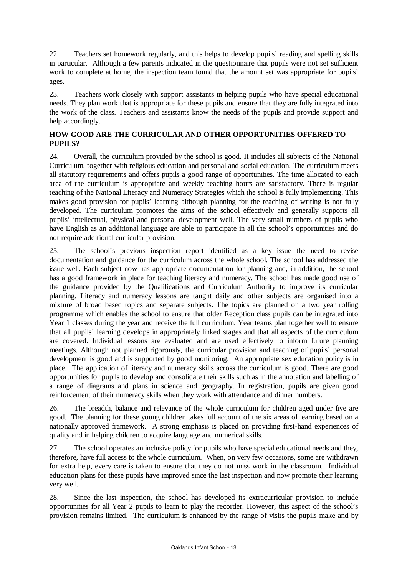22. Teachers set homework regularly, and this helps to develop pupils' reading and spelling skills in particular. Although a few parents indicated in the questionnaire that pupils were not set sufficient work to complete at home, the inspection team found that the amount set was appropriate for pupils' ages.

23. Teachers work closely with support assistants in helping pupils who have special educational needs. They plan work that is appropriate for these pupils and ensure that they are fully integrated into the work of the class. Teachers and assistants know the needs of the pupils and provide support and help accordingly.

## **HOW GOOD ARE THE CURRICULAR AND OTHER OPPORTUNITIES OFFERED TO PUPILS?**

24. Overall, the curriculum provided by the school is good. It includes all subjects of the National Curriculum, together with religious education and personal and social education. The curriculum meets all statutory requirements and offers pupils a good range of opportunities. The time allocated to each area of the curriculum is appropriate and weekly teaching hours are satisfactory. There is regular teaching of the National Literacy and Numeracy Strategies which the school is fully implementing. This makes good provision for pupils' learning although planning for the teaching of writing is not fully developed. The curriculum promotes the aims of the school effectively and generally supports all pupils' intellectual, physical and personal development well. The very small numbers of pupils who have English as an additional language are able to participate in all the school's opportunities and do not require additional curricular provision.

25. The school's previous inspection report identified as a key issue the need to revise documentation and guidance for the curriculum across the whole school. The school has addressed the issue well. Each subject now has appropriate documentation for planning and, in addition, the school has a good framework in place for teaching literacy and numeracy. The school has made good use of the guidance provided by the Qualifications and Curriculum Authority to improve its curricular planning. Literacy and numeracy lessons are taught daily and other subjects are organised into a mixture of broad based topics and separate subjects. The topics are planned on a two year rolling programme which enables the school to ensure that older Reception class pupils can be integrated into Year 1 classes during the year and receive the full curriculum. Year teams plan together well to ensure that all pupils' learning develops in appropriately linked stages and that all aspects of the curriculum are covered. Individual lessons are evaluated and are used effectively to inform future planning meetings. Although not planned rigorously, the curricular provision and teaching of pupils' personal development is good and is supported by good monitoring. An appropriate sex education policy is in place. The application of literacy and numeracy skills across the curriculum is good. There are good opportunities for pupils to develop and consolidate their skills such as in the annotation and labelling of a range of diagrams and plans in science and geography. In registration, pupils are given good reinforcement of their numeracy skills when they work with attendance and dinner numbers.

26. The breadth, balance and relevance of the whole curriculum for children aged under five are good. The planning for these young children takes full account of the six areas of learning based on a nationally approved framework. A strong emphasis is placed on providing first-hand experiences of quality and in helping children to acquire language and numerical skills.

27. The school operates an inclusive policy for pupils who have special educational needs and they, therefore, have full access to the whole curriculum. When, on very few occasions, some are withdrawn for extra help, every care is taken to ensure that they do not miss work in the classroom. Individual education plans for these pupils have improved since the last inspection and now promote their learning very well.

28. Since the last inspection, the school has developed its extracurricular provision to include opportunities for all Year 2 pupils to learn to play the recorder. However, this aspect of the school's provision remains limited. The curriculum is enhanced by the range of visits the pupils make and by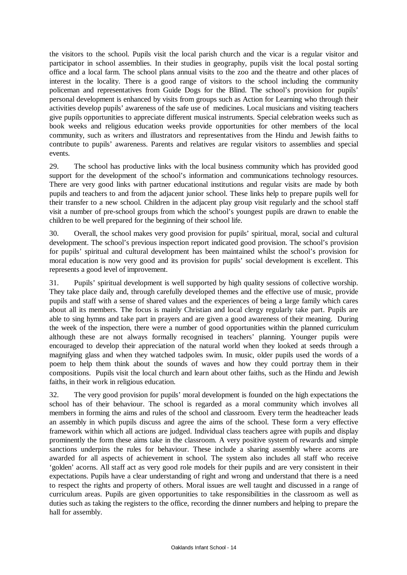the visitors to the school. Pupils visit the local parish church and the vicar is a regular visitor and participator in school assemblies. In their studies in geography, pupils visit the local postal sorting office and a local farm. The school plans annual visits to the zoo and the theatre and other places of interest in the locality. There is a good range of visitors to the school including the community policeman and representatives from Guide Dogs for the Blind. The school's provision for pupils' personal development is enhanced by visits from groups such as Action for Learning who through their activities develop pupils' awareness of the safe use of medicines. Local musicians and visiting teachers give pupils opportunities to appreciate different musical instruments. Special celebration weeks such as book weeks and religious education weeks provide opportunities for other members of the local community, such as writers and illustrators and representatives from the Hindu and Jewish faiths to contribute to pupils' awareness. Parents and relatives are regular visitors to assemblies and special events.

29. The school has productive links with the local business community which has provided good support for the development of the school's information and communications technology resources. There are very good links with partner educational institutions and regular visits are made by both pupils and teachers to and from the adjacent junior school. These links help to prepare pupils well for their transfer to a new school. Children in the adjacent play group visit regularly and the school staff visit a number of pre-school groups from which the school's youngest pupils are drawn to enable the children to be well prepared for the beginning of their school life.

30. Overall, the school makes very good provision for pupils' spiritual, moral, social and cultural development. The school's previous inspection report indicated good provision. The school's provision for pupils' spiritual and cultural development has been maintained whilst the school's provision for moral education is now very good and its provision for pupils' social development is excellent. This represents a good level of improvement.

31. Pupils' spiritual development is well supported by high quality sessions of collective worship. They take place daily and, through carefully developed themes and the effective use of music, provide pupils and staff with a sense of shared values and the experiences of being a large family which cares about all its members. The focus is mainly Christian and local clergy regularly take part. Pupils are able to sing hymns and take part in prayers and are given a good awareness of their meaning. During the week of the inspection, there were a number of good opportunities within the planned curriculum although these are not always formally recognised in teachers' planning. Younger pupils were encouraged to develop their appreciation of the natural world when they looked at seeds through a magnifying glass and when they watched tadpoles swim. In music, older pupils used the words of a poem to help them think about the sounds of waves and how they could portray them in their compositions. Pupils visit the local church and learn about other faiths, such as the Hindu and Jewish faiths, in their work in religious education.

32. The very good provision for pupils' moral development is founded on the high expectations the school has of their behaviour. The school is regarded as a moral community which involves all members in forming the aims and rules of the school and classroom. Every term the headteacher leads an assembly in which pupils discuss and agree the aims of the school. These form a very effective framework within which all actions are judged. Individual class teachers agree with pupils and display prominently the form these aims take in the classroom. A very positive system of rewards and simple sanctions underpins the rules for behaviour. These include a sharing assembly where acorns are awarded for all aspects of achievement in school. The system also includes all staff who receive 'golden' acorns. All staff act as very good role models for their pupils and are very consistent in their expectations. Pupils have a clear understanding of right and wrong and understand that there is a need to respect the rights and property of others. Moral issues are well taught and discussed in a range of curriculum areas. Pupils are given opportunities to take responsibilities in the classroom as well as duties such as taking the registers to the office, recording the dinner numbers and helping to prepare the hall for assembly.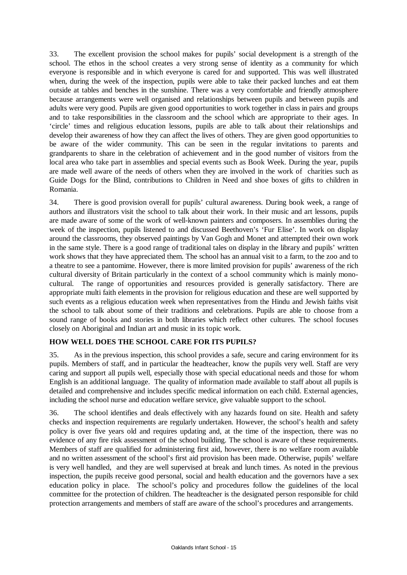33. The excellent provision the school makes for pupils' social development is a strength of the school. The ethos in the school creates a very strong sense of identity as a community for which everyone is responsible and in which everyone is cared for and supported. This was well illustrated when, during the week of the inspection, pupils were able to take their packed lunches and eat them outside at tables and benches in the sunshine. There was a very comfortable and friendly atmosphere because arrangements were well organised and relationships between pupils and between pupils and adults were very good. Pupils are given good opportunities to work together in class in pairs and groups and to take responsibilities in the classroom and the school which are appropriate to their ages. In 'circle' times and religious education lessons, pupils are able to talk about their relationships and develop their awareness of how they can affect the lives of others. They are given good opportunities to be aware of the wider community. This can be seen in the regular invitations to parents and grandparents to share in the celebration of achievement and in the good number of visitors from the local area who take part in assemblies and special events such as Book Week. During the year, pupils are made well aware of the needs of others when they are involved in the work of charities such as Guide Dogs for the Blind, contributions to Children in Need and shoe boxes of gifts to children in Romania.

34. There is good provision overall for pupils' cultural awareness. During book week, a range of authors and illustrators visit the school to talk about their work. In their music and art lessons, pupils are made aware of some of the work of well-known painters and composers. In assemblies during the week of the inspection, pupils listened to and discussed Beethoven's 'Fur Elise'. In work on display around the classrooms, they observed paintings by Van Gogh and Monet and attempted their own work in the same style. There is a good range of traditional tales on display in the library and pupils' written work shows that they have appreciated them. The school has an annual visit to a farm, to the zoo and to a theatre to see a pantomime. However, there is more limited provision for pupils' awareness of the rich cultural diversity of Britain particularly in the context of a school community which is mainly monocultural. The range of opportunities and resources provided is generally satisfactory. There are appropriate multi faith elements in the provision for religious education and these are well supported by such events as a religious education week when representatives from the Hindu and Jewish faiths visit the school to talk about some of their traditions and celebrations. Pupils are able to choose from a sound range of books and stories in both libraries which reflect other cultures. The school focuses closely on Aboriginal and Indian art and music in its topic work.

## **HOW WELL DOES THE SCHOOL CARE FOR ITS PUPILS?**

35. As in the previous inspection, this school provides a safe, secure and caring environment for its pupils. Members of staff, and in particular the headteacher, know the pupils very well. Staff are very caring and support all pupils well, especially those with special educational needs and those for whom English is an additional language. The quality of information made available to staff about all pupils is detailed and comprehensive and includes specific medical information on each child. External agencies, including the school nurse and education welfare service, give valuable support to the school.

36. The school identifies and deals effectively with any hazards found on site. Health and safety checks and inspection requirements are regularly undertaken. However, the school's health and safety policy is over five years old and requires updating and, at the time of the inspection, there was no evidence of any fire risk assessment of the school building. The school is aware of these requirements. Members of staff are qualified for administering first aid, however, there is no welfare room available and no written assessment of the school's first aid provision has been made. Otherwise, pupils' welfare is very well handled, and they are well supervised at break and lunch times. As noted in the previous inspection, the pupils receive good personal, social and health education and the governors have a sex education policy in place. The school's policy and procedures follow the guidelines of the local committee for the protection of children. The headteacher is the designated person responsible for child protection arrangements and members of staff are aware of the school's procedures and arrangements.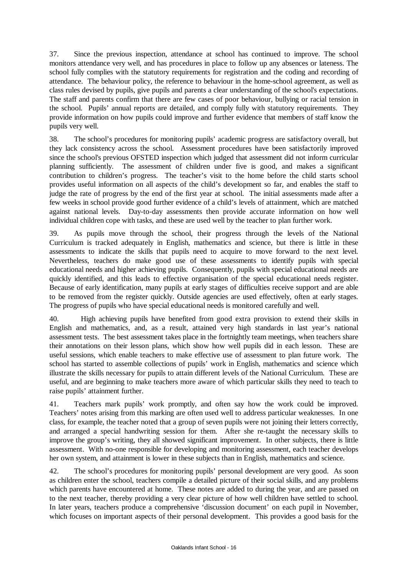37. Since the previous inspection, attendance at school has continued to improve. The school monitors attendance very well, and has procedures in place to follow up any absences or lateness. The school fully complies with the statutory requirements for registration and the coding and recording of attendance. The behaviour policy, the reference to behaviour in the home-school agreement, as well as class rules devised by pupils, give pupils and parents a clear understanding of the school's expectations. The staff and parents confirm that there are few cases of poor behaviour, bullying or racial tension in the school. Pupils' annual reports are detailed, and comply fully with statutory requirements. They provide information on how pupils could improve and further evidence that members of staff know the pupils very well.

38. The school's procedures for monitoring pupils' academic progress are satisfactory overall, but they lack consistency across the school. Assessment procedures have been satisfactorily improved since the school's previous OFSTED inspection which judged that assessment did not inform curricular planning sufficiently. The assessment of children under five is good, and makes a significant contribution to children's progress. The teacher's visit to the home before the child starts school provides useful information on all aspects of the child's development so far, and enables the staff to judge the rate of progress by the end of the first year at school. The initial assessments made after a few weeks in school provide good further evidence of a child's levels of attainment, which are matched against national levels. Day-to-day assessments then provide accurate information on how well individual children cope with tasks, and these are used well by the teacher to plan further work.

39. As pupils move through the school, their progress through the levels of the National Curriculum is tracked adequately in English, mathematics and science, but there is little in these assessments to indicate the skills that pupils need to acquire to move forward to the next level. Nevertheless, teachers do make good use of these assessments to identify pupils with special educational needs and higher achieving pupils. Consequently, pupils with special educational needs are quickly identified, and this leads to effective organisation of the special educational needs register. Because of early identification, many pupils at early stages of difficulties receive support and are able to be removed from the register quickly. Outside agencies are used effectively, often at early stages. The progress of pupils who have special educational needs is monitored carefully and well.

40. High achieving pupils have benefited from good extra provision to extend their skills in English and mathematics, and, as a result, attained very high standards in last year's national assessment tests. The best assessment takes place in the fortnightly team meetings, when teachers share their annotations on their lesson plans, which show how well pupils did in each lesson. These are useful sessions, which enable teachers to make effective use of assessment to plan future work. The school has started to assemble collections of pupils' work in English, mathematics and science which illustrate the skills necessary for pupils to attain different levels of the National Curriculum. These are useful, and are beginning to make teachers more aware of which particular skills they need to teach to raise pupils' attainment further.

41. Teachers mark pupils' work promptly, and often say how the work could be improved. Teachers' notes arising from this marking are often used well to address particular weaknesses. In one class, for example, the teacher noted that a group of seven pupils were not joining their letters correctly, and arranged a special handwriting session for them. After she re-taught the necessary skills to improve the group's writing, they all showed significant improvement. In other subjects, there is little assessment. With no-one responsible for developing and monitoring assessment, each teacher develops her own system, and attainment is lower in these subjects than in English, mathematics and science.

42. The school's procedures for monitoring pupils' personal development are very good. As soon as children enter the school, teachers compile a detailed picture of their social skills, and any problems which parents have encountered at home. These notes are added to during the year, and are passed on to the next teacher, thereby providing a very clear picture of how well children have settled to school. In later years, teachers produce a comprehensive 'discussion document' on each pupil in November, which focuses on important aspects of their personal development. This provides a good basis for the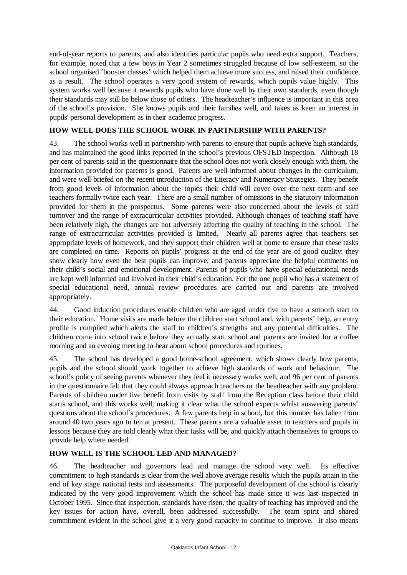end-of-year reports to parents, and also identifies particular pupils who need extra support. Teachers, for example, noted that a few boys in Year 2 sometimes struggled because of low self-esteem, so the school organised 'booster classes' which helped them achieve more success, and raised their confidence as a result. The school operates a very good system of rewards, which pupils value highly. This system works well because it rewards pupils who have done well by their own standards, even though their standards may still be below those of others. The headteacher's influence is important in this area of the school's provision. She knows pupils and their families well, and takes as keen an interest in pupils' personal development as in their academic progress.

## **HOW WELL DOES THE SCHOOL WORK IN PARTNERSHIP WITH PARENTS?**

43. The school works well in partnership with parents to ensure that pupils achieve high standards, and has maintained the good links reported in the school's previous OFSTED inspection. Although 18 per cent of parents said in the questionnaire that the school does not work closely enough with them, the information provided for parents is good. Parents are well-informed about changes in the curriculum, and were well-briefed on the recent introduction of the Literacy and Numeracy Strategies. They benefit from good levels of information about the topics their child will cover over the next term and see teachers formally twice each year. There are a small number of omissions in the statutory information provided for them in the prospectus. Some parents were also concerned about the levels of staff turnover and the range of extracurricular activities provided. Although changes of teaching staff have been relatively high, the changes are not adversely affecting the quality of teaching in the school. The range of extracurricular activities provided is limited. Nearly all parents agree that teachers set appropriate levels of homework, and they support their children well at home to ensure that these tasks are completed on time. Reports on pupils' progress at the end of the year are of good quality: they show clearly how even the best pupils can improve, and parents appreciate the helpful comments on their child's social and emotional development. Parents of pupils who have special educational needs are kept well informed and involved in their child's education. For the one pupil who has a statement of special educational need, annual review procedures are carried out and parents are involved appropriately.

44. Good induction procedures enable children who are aged under five to have a smooth start to their education. Home visits are made before the children start school and, with parents' help, an entry profile is compiled which alerts the staff to children's strengths and any potential difficulties. The children come into school twice before they actually start school and parents are invited for a coffee morning and an evening meeting to hear about school procedures and routines.

45. The school has developed a good home-school agreement, which shows clearly how parents, pupils and the school should work together to achieve high standards of work and behaviour. The school's policy of seeing parents whenever they feel it necessary works well, and 96 per cent of parents in the questionnaire felt that they could always approach teachers or the headteacher with any problem. Parents of children under five benefit from visits by staff from the Reception class before their child starts school, and this works well, making it clear what the school expects whilst answering parents' questions about the school's procedures. A few parents help in school, but this number has fallen from around 40 two years ago to ten at present. These parents are a valuable asset to teachers and pupils in lessons because they are told clearly what their tasks will be, and quickly attach themselves to groups to provide help where needed.

## **HOW WELL IS THE SCHOOL LED AND MANAGED?**

46. The headteacher and governors lead and manage the school very well. Its effective commitment to high standards is clear from the well above average results which the pupils attain in the end of key stage national tests and assessments. The purposeful development of the school is clearly indicated by the very good improvement which the school has made since it was last inspected in October 1995. Since that inspection, standards have risen, the quality of teaching has improved and the key issues for action have, overall, been addressed successfully. The team spirit and shared commitment evident in the school give it a very good capacity to continue to improve. It also means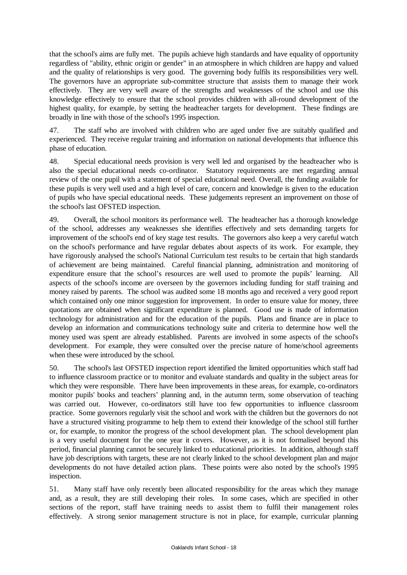that the school's aims are fully met. The pupils achieve high standards and have equality of opportunity regardless of "ability, ethnic origin or gender" in an atmosphere in which children are happy and valued and the quality of relationships is very good. The governing body fulfils its responsibilities very well. The governors have an appropriate sub-committee structure that assists them to manage their work effectively. They are very well aware of the strengths and weaknesses of the school and use this knowledge effectively to ensure that the school provides children with all-round development of the highest quality, for example, by setting the headteacher targets for development. These findings are broadly in line with those of the school's 1995 inspection.

47. The staff who are involved with children who are aged under five are suitably qualified and experienced. They receive regular training and information on national developments that influence this phase of education.

48. Special educational needs provision is very well led and organised by the headteacher who is also the special educational needs co-ordinator. Statutory requirements are met regarding annual review of the one pupil with a statement of special educational need. Overall, the funding available for these pupils is very well used and a high level of care, concern and knowledge is given to the education of pupils who have special educational needs. These judgements represent an improvement on those of the school's last OFSTED inspection.

49. Overall, the school monitors its performance well. The headteacher has a thorough knowledge of the school, addresses any weaknesses she identifies effectively and sets demanding targets for improvement of the school's end of key stage test results. The governors also keep a very careful watch on the school's performance and have regular debates about aspects of its work. For example, they have rigorously analysed the school's National Curriculum test results to be certain that high standards of achievement are being maintained. Careful financial planning, administration and monitoring of expenditure ensure that the school's resources are well used to promote the pupils' learning. All aspects of the school's income are overseen by the governors including funding for staff training and money raised by parents. The school was audited some 18 months ago and received a very good report which contained only one minor suggestion for improvement. In order to ensure value for money, three quotations are obtained when significant expenditure is planned. Good use is made of information technology for administration and for the education of the pupils. Plans and finance are in place to develop an information and communications technology suite and criteria to determine how well the money used was spent are already established. Parents are involved in some aspects of the school's development. For example, they were consulted over the precise nature of home/school agreements when these were introduced by the school.

50. The school's last OFSTED inspection report identified the limited opportunities which staff had to influence classroom practice or to monitor and evaluate standards and quality in the subject areas for which they were responsible. There have been improvements in these areas, for example, co-ordinators monitor pupils' books and teachers' planning and, in the autumn term, some observation of teaching was carried out. However, co-ordinators still have too few opportunities to influence classroom practice. Some governors regularly visit the school and work with the children but the governors do not have a structured visiting programme to help them to extend their knowledge of the school still further or, for example, to monitor the progress of the school development plan. The school development plan is a very useful document for the one year it covers. However, as it is not formalised beyond this period, financial planning cannot be securely linked to educational priorities. In addition, although staff have job descriptions with targets, these are not clearly linked to the school development plan and major developments do not have detailed action plans. These points were also noted by the school's 1995 inspection.

51. Many staff have only recently been allocated responsibility for the areas which they manage and, as a result, they are still developing their roles. In some cases, which are specified in other sections of the report, staff have training needs to assist them to fulfil their management roles effectively. A strong senior management structure is not in place, for example, curricular planning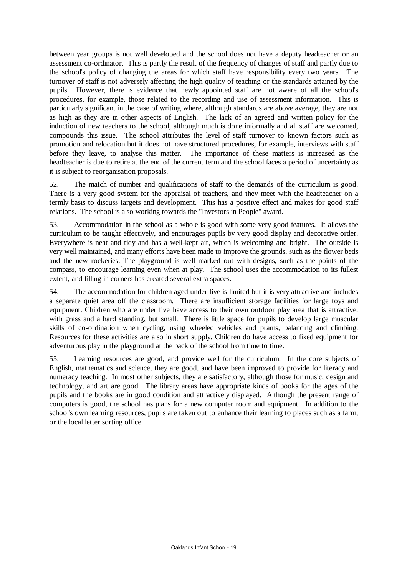between year groups is not well developed and the school does not have a deputy headteacher or an assessment co-ordinator. This is partly the result of the frequency of changes of staff and partly due to the school's policy of changing the areas for which staff have responsibility every two years. The turnover of staff is not adversely affecting the high quality of teaching or the standards attained by the pupils. However, there is evidence that newly appointed staff are not aware of all the school's procedures, for example, those related to the recording and use of assessment information. This is particularly significant in the case of writing where, although standards are above average, they are not as high as they are in other aspects of English. The lack of an agreed and written policy for the induction of new teachers to the school, although much is done informally and all staff are welcomed, compounds this issue. The school attributes the level of staff turnover to known factors such as promotion and relocation but it does not have structured procedures, for example, interviews with staff before they leave, to analyse this matter. The importance of these matters is increased as the headteacher is due to retire at the end of the current term and the school faces a period of uncertainty as it is subject to reorganisation proposals.

52. The match of number and qualifications of staff to the demands of the curriculum is good. There is a very good system for the appraisal of teachers, and they meet with the headteacher on a termly basis to discuss targets and development. This has a positive effect and makes for good staff relations. The school is also working towards the "Investors in People" award.

53. Accommodation in the school as a whole is good with some very good features. It allows the curriculum to be taught effectively, and encourages pupils by very good display and decorative order. Everywhere is neat and tidy and has a well-kept air, which is welcoming and bright. The outside is very well maintained, and many efforts have been made to improve the grounds, such as the flower beds and the new rockeries. The playground is well marked out with designs, such as the points of the compass, to encourage learning even when at play. The school uses the accommodation to its fullest extent, and filling in corners has created several extra spaces.

54. The accommodation for children aged under five is limited but it is very attractive and includes a separate quiet area off the classroom. There are insufficient storage facilities for large toys and equipment. Children who are under five have access to their own outdoor play area that is attractive, with grass and a hard standing, but small. There is little space for pupils to develop large muscular skills of co-ordination when cycling, using wheeled vehicles and prams, balancing and climbing. Resources for these activities are also in short supply. Children do have access to fixed equipment for adventurous play in the playground at the back of the school from time to time.

55. Learning resources are good, and provide well for the curriculum. In the core subjects of English, mathematics and science, they are good, and have been improved to provide for literacy and numeracy teaching. In most other subjects, they are satisfactory, although those for music, design and technology, and art are good. The library areas have appropriate kinds of books for the ages of the pupils and the books are in good condition and attractively displayed. Although the present range of computers is good, the school has plans for a new computer room and equipment. In addition to the school's own learning resources, pupils are taken out to enhance their learning to places such as a farm, or the local letter sorting office.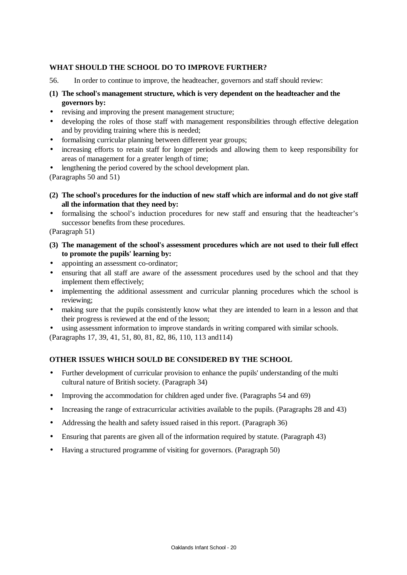### **WHAT SHOULD THE SCHOOL DO TO IMPROVE FURTHER?**

- 56. In order to continue to improve, the headteacher, governors and staff should review:
- **(1) The school's management structure, which is very dependent on the headteacher and the governors by:**
- revising and improving the present management structure;
- developing the roles of those staff with management responsibilities through effective delegation and by providing training where this is needed;
- formalising curricular planning between different year groups:
- increasing efforts to retain staff for longer periods and allowing them to keep responsibility for areas of management for a greater length of time;
- lengthening the period covered by the school development plan.

(Paragraphs 50 and 51)

- **(2) The school's procedures for the induction of new staff which are informal and do not give staff all the information that they need by:**
- formalising the school's induction procedures for new staff and ensuring that the headteacher's successor benefits from these procedures.

(Paragraph 51)

- **(3) The management of the school's assessment procedures which are not used to their full effect to promote the pupils' learning by:**
- appointing an assessment co-ordinator;
- ensuring that all staff are aware of the assessment procedures used by the school and that they implement them effectively;
- implementing the additional assessment and curricular planning procedures which the school is reviewing;
- making sure that the pupils consistently know what they are intended to learn in a lesson and that their progress is reviewed at the end of the lesson;
- using assessment information to improve standards in writing compared with similar schools.

(Paragraphs 17, 39, 41, 51, 80, 81, 82, 86, 110, 113 and114)

### **OTHER ISSUES WHICH SOULD BE CONSIDERED BY THE SCHOOL**

- Further development of curricular provision to enhance the pupils' understanding of the multi cultural nature of British society. (Paragraph 34)
- Improving the accommodation for children aged under five. (Paragraphs 54 and 69)
- Increasing the range of extracurricular activities available to the pupils. (Paragraphs 28 and 43)
- Addressing the health and safety issued raised in this report. (Paragraph 36)
- Ensuring that parents are given all of the information required by statute. (Paragraph 43)
- Having a structured programme of visiting for governors. (Paragraph 50)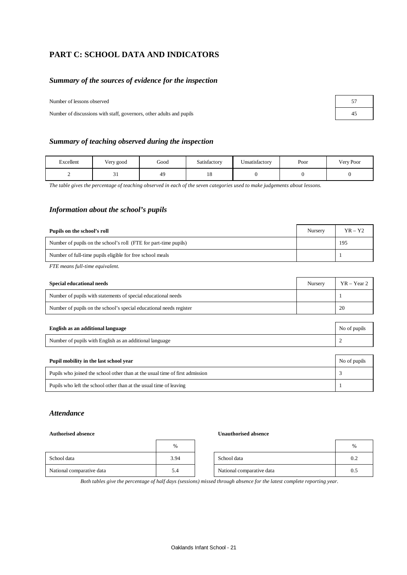## **PART C: SCHOOL DATA AND INDICATORS**

### *Summary of the sources of evidence for the inspection*

| Number of lessons observed |  |
|----------------------------|--|
|                            |  |

Number of discussions with staff, governors, other adults and pupils 45

| <b>Summary of teaching observed during the inspection</b> |  |  |
|-----------------------------------------------------------|--|--|
|                                                           |  |  |

| Excellent | Very good | Good           | Satisfactory | Unsatisfactory | Poor | Very Poor |
|-----------|-----------|----------------|--------------|----------------|------|-----------|
|           | $\sim$ 1  | 4 <sup>c</sup> | 10           |                |      |           |

*The table gives the percentage of teaching observed in each of the seven categories used to make judgements about lessons.*

### *Information about the school's pupils*

| Pupils on the school's roll                                      | Nursery | $YR - Y2$ |
|------------------------------------------------------------------|---------|-----------|
| Number of pupils on the school's roll (FTE for part-time pupils) |         | 195       |
| Number of full-time pupils eligible for free school meals        |         |           |

*FTE means full-time equivalent.*

| <b>Special educational needs</b>                                    | Nursery | $YR - Year 2$ |
|---------------------------------------------------------------------|---------|---------------|
| Number of pupils with statements of special educational needs       |         |               |
| Number of pupils on the school's special educational needs register |         | 20            |
|                                                                     |         |               |
| English as an additional language                                   |         | No of pupils  |
| Number of pupils with English as an additional language             |         |               |

| Number of pupils with English as an additional language                      |              |
|------------------------------------------------------------------------------|--------------|
|                                                                              |              |
| Pupil mobility in the last school year                                       | No of pupils |
| Pupils who joined the school other than at the usual time of first admission |              |

Pupils who left the school other than at the usual time of leaving 1

### *Attendance*

### **Authorised absence Unauthorised absence**

|                           | $\%$ |                           | $\%$ |
|---------------------------|------|---------------------------|------|
| School data               | 3.94 | School data               | 0.2  |
| National comparative data | 5.4  | National comparative data | 0.5  |

*Both tables give the percentage of half days (sessions) missed through absence for the latest complete reporting year.*

| 57 |  |
|----|--|
| 45 |  |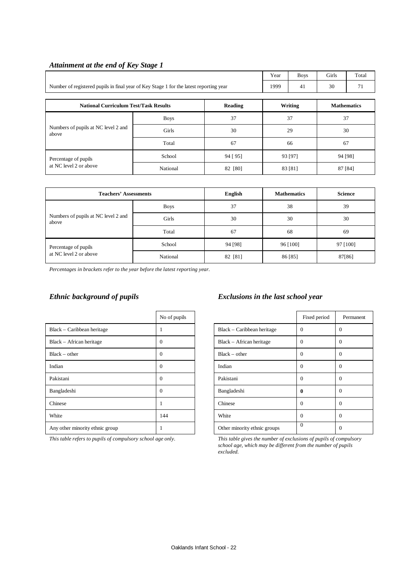|                                                                                        |             |          | Year               | <b>Boys</b> | Girls              | Total |  |  |
|----------------------------------------------------------------------------------------|-------------|----------|--------------------|-------------|--------------------|-------|--|--|
| Number of registered pupils in final year of Key Stage 1 for the latest reporting year |             |          |                    | 41          | 30                 | 71    |  |  |
| <b>National Curriculum Test/Task Results</b><br>Reading                                |             |          |                    | Writing     | <b>Mathematics</b> |       |  |  |
|                                                                                        | <b>Boys</b> | 37       |                    | 37          |                    | 37    |  |  |
| Numbers of pupils at NC level 2 and<br>above                                           | Girls       | 30       | 29                 |             | 30                 |       |  |  |
|                                                                                        | Total       | 67       | 66                 |             | 67                 |       |  |  |
| Percentage of pupils                                                                   | School      | 94 [ 95] | 93 [97]            |             | 94 [98]            |       |  |  |
| at NC level 2 or above                                                                 | National    | 82 [80]  | 83 [81]<br>87 [84] |             |                    |       |  |  |

## *Attainment at the end of Key Stage 1*

| <b>Teachers' Assessments</b>                 |             | English | <b>Mathematics</b> | <b>Science</b> |
|----------------------------------------------|-------------|---------|--------------------|----------------|
|                                              | <b>Boys</b> | 37      | 38                 | 39             |
| Numbers of pupils at NC level 2 and<br>above | Girls       | 30      | 30                 | 30             |
|                                              | Total       | 67      | 68                 | 69             |
| Percentage of pupils                         | School      | 94 [98] | 96 [100]           | 97 [100]       |
| at NC level 2 or above                       | National    | 82 [81] | 86 [85]            | 87[86]         |

*Percentages in brackets refer to the year before the latest reporting year.*

|                                 | No of pupils |                              | Fixed period |          |
|---------------------------------|--------------|------------------------------|--------------|----------|
| Black – Caribbean heritage      |              | $Black - Caribbean heritage$ | $\Omega$     | $\theta$ |
| Black – African heritage        | $\Omega$     | Black - African heritage     | $\Omega$     | $\theta$ |
| $Black - other$                 | $\mathbf{0}$ | $Black - other$              | $\Omega$     | $\theta$ |
| Indian                          | $\Omega$     | Indian                       | $\Omega$     | $\Omega$ |
| Pakistani                       | $\Omega$     | Pakistani                    | $\Omega$     | $\Omega$ |
| Bangladeshi                     | $\Omega$     | Bangladeshi                  | $\mathbf{0}$ | $\theta$ |
| Chinese                         |              | Chinese                      | $\Omega$     | $\theta$ |
| White                           | 144          | White                        | $\Omega$     | $\Omega$ |
| Any other minority ethnic group |              | Other minority ethnic groups | $\Omega$     | $\theta$ |

### *Ethnic background of pupils Exclusions in the last school year*

| No of pupils |                              | Fixed period | Permanent    |
|--------------|------------------------------|--------------|--------------|
| 1            | Black – Caribbean heritage   | $\Omega$     | $\Omega$     |
| 0            | Black – African heritage     | $\Omega$     | $\Omega$     |
| 0            | $Black - other$              | $\Omega$     | $\mathbf{0}$ |
| 0            | Indian                       | $\Omega$     | $\Omega$     |
| 0            | Pakistani                    | $\Omega$     | $\Omega$     |
| 0            | Bangladeshi                  | 0            | $\mathbf{0}$ |
| 1            | Chinese                      | $\Omega$     | $\Omega$     |
| 144          | White                        | $\Omega$     | $\Omega$     |
| 1            | Other minority ethnic groups | $\mathbf{0}$ | 0            |

*This table refers to pupils of compulsory school age only. This table gives the number of exclusions of pupils of compulsory school age, which may be different from the number of pupils excluded.*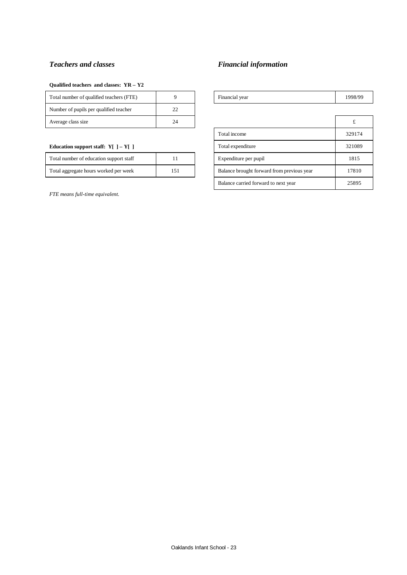## *Teachers and classes Financial information*

### **Qualified teachers and classes: YR – Y2**

| Total number of qualified teachers (FTE) |    | Financial year | 1998 |
|------------------------------------------|----|----------------|------|
| Number of pupils per qualified teacher   |    |                |      |
| Average class size                       | 24 |                |      |

### **Education support staff:**  $Y[$  ] –  $Y[$  ]

| Total number of education support staff |     |
|-----------------------------------------|-----|
| Total aggregate hours worked per week   | 151 |

*FTE means full-time equivalent.*

| 1998/99 |
|---------|
|         |
| £       |
| 329174  |
| 321089  |
| 1815    |
| 17810   |
| 25895   |
|         |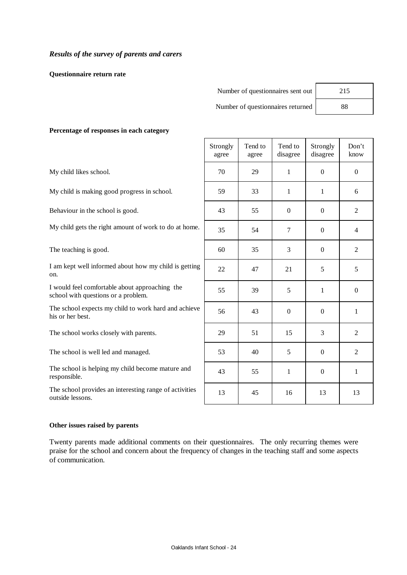**Questionnaire return rate**

| Number of questionnaires sent out | 215 |
|-----------------------------------|-----|
| Number of questionnaires returned | 88  |

h

### **Percentage of responses in each category**

|                                                                                       | Strongly<br>agree | Tend to<br>agree | Tend to<br>disagree | Strongly<br>disagree | Don't<br>know    |
|---------------------------------------------------------------------------------------|-------------------|------------------|---------------------|----------------------|------------------|
| My child likes school.                                                                | 70                | 29               | 1                   | $\Omega$             | $\Omega$         |
| My child is making good progress in school.                                           | 59                | 33               | 1                   | 1                    | 6                |
| Behaviour in the school is good.                                                      | 43                | 55               | $\theta$            | $\Omega$             | $\overline{2}$   |
| My child gets the right amount of work to do at home.                                 | 35                | 54               | $\overline{7}$      | $\mathbf{0}$         | $\overline{4}$   |
| The teaching is good.                                                                 | 60                | 35               | 3                   | $\Omega$             | $\overline{2}$   |
| I am kept well informed about how my child is getting<br>on.                          | 22                | 47               | 21                  | 5                    | 5                |
| I would feel comfortable about approaching the<br>school with questions or a problem. | 55                | 39               | 5                   | 1                    | $\boldsymbol{0}$ |
| The school expects my child to work hard and achieve<br>his or her best.              | 56                | 43               | $\mathbf{0}$        | $\mathbf{0}$         | 1                |
| The school works closely with parents.                                                | 29                | 51               | 15                  | 3                    | $\overline{2}$   |
| The school is well led and managed.                                                   | 53                | 40               | 5                   | $\boldsymbol{0}$     | $\overline{2}$   |
| The school is helping my child become mature and<br>responsible.                      | 43                | 55               | 1                   | $\mathbf{0}$         | 1                |
| The school provides an interesting range of activities<br>outside lessons.            | 13                | 45               | 16                  | 13                   | 13               |

 $\mathbf{r}$ 

### **Other issues raised by parents**

Twenty parents made additional comments on their questionnaires. The only recurring themes were praise for the school and concern about the frequency of changes in the teaching staff and some aspects of communication.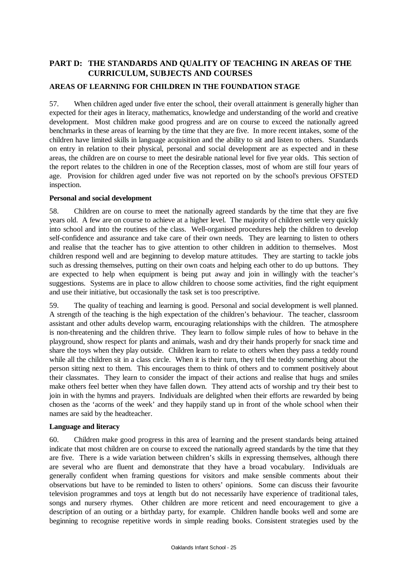## **PART D: THE STANDARDS AND QUALITY OF TEACHING IN AREAS OF THE CURRICULUM, SUBJECTS AND COURSES**

## **AREAS OF LEARNING FOR CHILDREN IN THE FOUNDATION STAGE**

57. When children aged under five enter the school, their overall attainment is generally higher than expected for their ages in literacy, mathematics, knowledge and understanding of the world and creative development. Most children make good progress and are on course to exceed the nationally agreed benchmarks in these areas of learning by the time that they are five. In more recent intakes, some of the children have limited skills in language acquisition and the ability to sit and listen to others. Standards on entry in relation to their physical, personal and social development are as expected and in these areas, the children are on course to meet the desirable national level for five year olds. This section of the report relates to the children in one of the Reception classes, most of whom are still four years of age. Provision for children aged under five was not reported on by the school's previous OFSTED inspection.

### **Personal and social development**

58. Children are on course to meet the nationally agreed standards by the time that they are five years old. A few are on course to achieve at a higher level. The majority of children settle very quickly into school and into the routines of the class. Well-organised procedures help the children to develop self-confidence and assurance and take care of their own needs. They are learning to listen to others and realise that the teacher has to give attention to other children in addition to themselves. Most children respond well and are beginning to develop mature attitudes. They are starting to tackle jobs such as dressing themselves, putting on their own coats and helping each other to do up buttons. They are expected to help when equipment is being put away and join in willingly with the teacher's suggestions. Systems are in place to allow children to choose some activities, find the right equipment and use their initiative, but occasionally the task set is too prescriptive.

59. The quality of teaching and learning is good. Personal and social development is well planned. A strength of the teaching is the high expectation of the children's behaviour. The teacher, classroom assistant and other adults develop warm, encouraging relationships with the children. The atmosphere is non-threatening and the children thrive. They learn to follow simple rules of how to behave in the playground, show respect for plants and animals, wash and dry their hands properly for snack time and share the toys when they play outside. Children learn to relate to others when they pass a teddy round while all the children sit in a class circle. When it is their turn, they tell the teddy something about the person sitting next to them. This encourages them to think of others and to comment positively about their classmates. They learn to consider the impact of their actions and realise that hugs and smiles make others feel better when they have fallen down. They attend acts of worship and try their best to join in with the hymns and prayers. Individuals are delighted when their efforts are rewarded by being chosen as the 'acorns of the week' and they happily stand up in front of the whole school when their names are said by the headteacher.

### **Language and literacy**

60. Children make good progress in this area of learning and the present standards being attained indicate that most children are on course to exceed the nationally agreed standards by the time that they are five. There is a wide variation between children's skills in expressing themselves, although there are several who are fluent and demonstrate that they have a broad vocabulary. Individuals are generally confident when framing questions for visitors and make sensible comments about their observations but have to be reminded to listen to others' opinions. Some can discuss their favourite television programmes and toys at length but do not necessarily have experience of traditional tales, songs and nursery rhymes. Other children are more reticent and need encouragement to give a description of an outing or a birthday party, for example. Children handle books well and some are beginning to recognise repetitive words in simple reading books. Consistent strategies used by the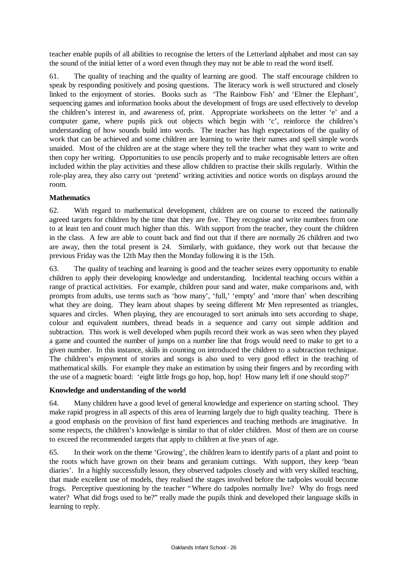teacher enable pupils of all abilities to recognise the letters of the Letterland alphabet and most can say the sound of the initial letter of a word even though they may not be able to read the word itself.

61. The quality of teaching and the quality of learning are good. The staff encourage children to speak by responding positively and posing questions. The literacy work is well structured and closely linked to the enjoyment of stories. Books such as 'The Rainbow Fish' and 'Elmer the Elephant', sequencing games and information books about the development of frogs are used effectively to develop the children's interest in, and awareness of, print. Appropriate worksheets on the letter 'e' and a computer game, where pupils pick out objects which begin with 'c', reinforce the children's understanding of how sounds build into words. The teacher has high expectations of the quality of work that can be achieved and some children are learning to write their names and spell simple words unaided. Most of the children are at the stage where they tell the teacher what they want to write and then copy her writing. Opportunities to use pencils properly and to make recognisable letters are often included within the play activities and these allow children to practise their skills regularly. Within the role-play area, they also carry out 'pretend' writing activities and notice words on displays around the room.

## **Mathematics**

62. With regard to mathematical development, children are on course to exceed the nationally agreed targets for children by the time that they are five. They recognise and write numbers from one to at least ten and count much higher than this. With support from the teacher, they count the children in the class. A few are able to count back and find out that if there are normally 26 children and two are away, then the total present is 24. Similarly, with guidance, they work out that because the previous Friday was the 12th May then the Monday following it is the 15th.

63. The quality of teaching and learning is good and the teacher seizes every opportunity to enable children to apply their developing knowledge and understanding. Incidental teaching occurs within a range of practical activities. For example, children pour sand and water, make comparisons and, with prompts from adults, use terms such as 'how many', 'full,' 'empty' and 'more than' when describing what they are doing. They learn about shapes by seeing different Mr Men represented as triangles, squares and circles. When playing, they are encouraged to sort animals into sets according to shape, colour and equivalent numbers, thread beads in a sequence and carry out simple addition and subtraction. This work is well developed when pupils record their work as was seen when they played a game and counted the number of jumps on a number line that frogs would need to make to get to a given number. In this instance, skills in counting on introduced the children to a subtraction technique. The children's enjoyment of stories and songs is also used to very good effect in the teaching of mathematical skills. For example they make an estimation by using their fingers and by recording with the use of a magnetic board: 'eight little frogs go hop, hop, hop! How many left if one should stop?'

### **Knowledge and understanding of the world**

64. Many children have a good level of general knowledge and experience on starting school. They make rapid progress in all aspects of this area of learning largely due to high quality teaching. There is a good emphasis on the provision of first hand experiences and teaching methods are imaginative. In some respects, the children's knowledge is similar to that of older children. Most of them are on course to exceed the recommended targets that apply to children at five years of age.

65. In their work on the theme 'Growing', the children learn to identify parts of a plant and point to the roots which have grown on their beans and geranium cuttings. With support, they keep 'bean diaries'. In a highly successfully lesson, they observed tadpoles closely and with very skilled teaching, that made excellent use of models, they realised the stages involved before the tadpoles would become frogs. Perceptive questioning by the teacher "Where do tadpoles normally live? Why do frogs need water? What did frogs used to be?" really made the pupils think and developed their language skills in learning to reply.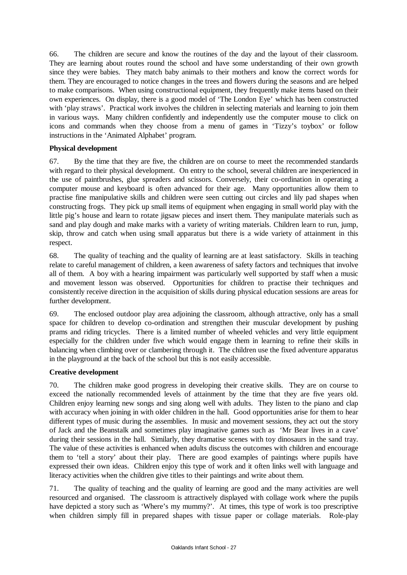66. The children are secure and know the routines of the day and the layout of their classroom. They are learning about routes round the school and have some understanding of their own growth since they were babies. They match baby animals to their mothers and know the correct words for them. They are encouraged to notice changes in the trees and flowers during the seasons and are helped to make comparisons. When using constructional equipment, they frequently make items based on their own experiences. On display, there is a good model of 'The London Eye' which has been constructed with 'play straws'. Practical work involves the children in selecting materials and learning to join them in various ways. Many children confidently and independently use the computer mouse to click on icons and commands when they choose from a menu of games in 'Tizzy's toybox' or follow instructions in the 'Animated Alphabet' program.

### **Physical development**

67. By the time that they are five, the children are on course to meet the recommended standards with regard to their physical development. On entry to the school, several children are inexperienced in the use of paintbrushes, glue spreaders and scissors. Conversely, their co-ordination in operating a computer mouse and keyboard is often advanced for their age. Many opportunities allow them to practise fine manipulative skills and children were seen cutting out circles and lily pad shapes when constructing frogs. They pick up small items of equipment when engaging in small world play with the little pig's house and learn to rotate jigsaw pieces and insert them. They manipulate materials such as sand and play dough and make marks with a variety of writing materials. Children learn to run, jump, skip, throw and catch when using small apparatus but there is a wide variety of attainment in this respect.

68. The quality of teaching and the quality of learning are at least satisfactory. Skills in teaching relate to careful management of children, a keen awareness of safety factors and techniques that involve all of them. A boy with a hearing impairment was particularly well supported by staff when a music and movement lesson was observed. Opportunities for children to practise their techniques and consistently receive direction in the acquisition of skills during physical education sessions are areas for further development.

69. The enclosed outdoor play area adjoining the classroom, although attractive, only has a small space for children to develop co-ordination and strengthen their muscular development by pushing prams and riding tricycles. There is a limited number of wheeled vehicles and very little equipment especially for the children under five which would engage them in learning to refine their skills in balancing when climbing over or clambering through it. The children use the fixed adventure apparatus in the playground at the back of the school but this is not easily accessible.

### **Creative development**

70. The children make good progress in developing their creative skills. They are on course to exceed the nationally recommended levels of attainment by the time that they are five years old. Children enjoy learning new songs and sing along well with adults. They listen to the piano and clap with accuracy when joining in with older children in the hall. Good opportunities arise for them to hear different types of music during the assemblies. In music and movement sessions, they act out the story of Jack and the Beanstalk and sometimes play imaginative games such as 'Mr Bear lives in a cave' during their sessions in the hall. Similarly, they dramatise scenes with toy dinosaurs in the sand tray. The value of these activities is enhanced when adults discuss the outcomes with children and encourage them to 'tell a story' about their play. There are good examples of paintings where pupils have expressed their own ideas. Children enjoy this type of work and it often links well with language and literacy activities when the children give titles to their paintings and write about them.

71. The quality of teaching and the quality of learning are good and the many activities are well resourced and organised. The classroom is attractively displayed with collage work where the pupils have depicted a story such as 'Where's my mummy?'. At times, this type of work is too prescriptive when children simply fill in prepared shapes with tissue paper or collage materials. Role-play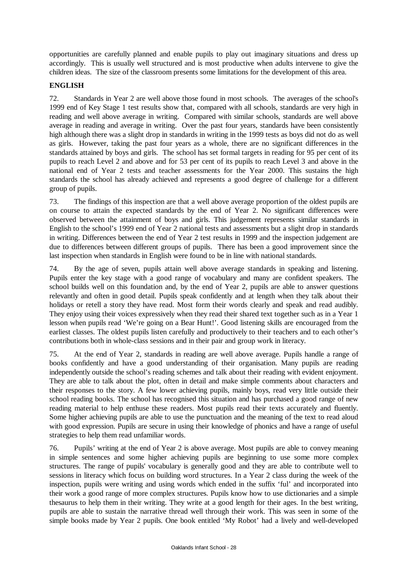opportunities are carefully planned and enable pupils to play out imaginary situations and dress up accordingly. This is usually well structured and is most productive when adults intervene to give the children ideas. The size of the classroom presents some limitations for the development of this area.

## **ENGLISH**

72. Standards in Year 2 are well above those found in most schools. The averages of the school's 1999 end of Key Stage 1 test results show that, compared with all schools, standards are very high in reading and well above average in writing. Compared with similar schools, standards are well above average in reading and average in writing. Over the past four years, standards have been consistently high although there was a slight drop in standards in writing in the 1999 tests as boys did not do as well as girls. However, taking the past four years as a whole, there are no significant differences in the standards attained by boys and girls. The school has set formal targets in reading for 95 per cent of its pupils to reach Level 2 and above and for 53 per cent of its pupils to reach Level 3 and above in the national end of Year 2 tests and teacher assessments for the Year 2000. This sustains the high standards the school has already achieved and represents a good degree of challenge for a different group of pupils.

73. The findings of this inspection are that a well above average proportion of the oldest pupils are on course to attain the expected standards by the end of Year 2. No significant differences were observed between the attainment of boys and girls. This judgement represents similar standards in English to the school's 1999 end of Year 2 national tests and assessments but a slight drop in standards in writing. Differences between the end of Year 2 test results in 1999 and the inspection judgement are due to differences between different groups of pupils. There has been a good improvement since the last inspection when standards in English were found to be in line with national standards.

74. By the age of seven, pupils attain well above average standards in speaking and listening. Pupils enter the key stage with a good range of vocabulary and many are confident speakers. The school builds well on this foundation and, by the end of Year 2, pupils are able to answer questions relevantly and often in good detail. Pupils speak confidently and at length when they talk about their holidays or retell a story they have read. Most form their words clearly and speak and read audibly. They enjoy using their voices expressively when they read their shared text together such as in a Year 1 lesson when pupils read 'We're going on a Bear Hunt!'. Good listening skills are encouraged from the earliest classes. The oldest pupils listen carefully and productively to their teachers and to each other's contributions both in whole-class sessions and in their pair and group work in literacy.

75. At the end of Year 2, standards in reading are well above average. Pupils handle a range of books confidently and have a good understanding of their organisation. Many pupils are reading independently outside the school's reading schemes and talk about their reading with evident enjoyment. They are able to talk about the plot, often in detail and make simple comments about characters and their responses to the story. A few lower achieving pupils, mainly boys, read very little outside their school reading books. The school has recognised this situation and has purchased a good range of new reading material to help enthuse these readers. Most pupils read their texts accurately and fluently. Some higher achieving pupils are able to use the punctuation and the meaning of the text to read aloud with good expression. Pupils are secure in using their knowledge of phonics and have a range of useful strategies to help them read unfamiliar words.

76. Pupils' writing at the end of Year 2 is above average. Most pupils are able to convey meaning in simple sentences and some higher achieving pupils are beginning to use some more complex structures. The range of pupils' vocabulary is generally good and they are able to contribute well to sessions in literacy which focus on building word structures. In a Year 2 class during the week of the inspection, pupils were writing and using words which ended in the suffix 'ful' and incorporated into their work a good range of more complex structures. Pupils know how to use dictionaries and a simple thesaurus to help them in their writing. They write at a good length for their ages. In the best writing, pupils are able to sustain the narrative thread well through their work. This was seen in some of the simple books made by Year 2 pupils. One book entitled 'My Robot' had a lively and well-developed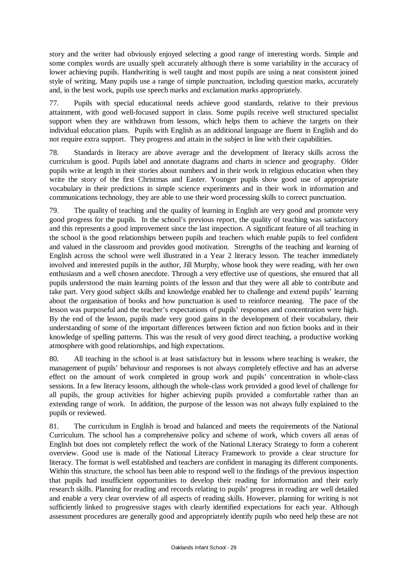story and the writer had obviously enjoyed selecting a good range of interesting words. Simple and some complex words are usually spelt accurately although there is some variability in the accuracy of lower achieving pupils. Handwriting is well taught and most pupils are using a neat consistent joined style of writing. Many pupils use a range of simple punctuation, including question marks, accurately and, in the best work, pupils use speech marks and exclamation marks appropriately.

77. Pupils with special educational needs achieve good standards, relative to their previous attainment, with good well-focused support in class. Some pupils receive well structured specialist support when they are withdrawn from lessons, which helps them to achieve the targets on their individual education plans. Pupils with English as an additional language are fluent in English and do not require extra support. They progress and attain in the subject in line with their capabilities.

78. Standards in literacy are above average and the development of literacy skills across the curriculum is good. Pupils label and annotate diagrams and charts in science and geography. Older pupils write at length in their stories about numbers and in their work in religious education when they write the story of the first Christmas and Easter. Younger pupils show good use of appropriate vocabulary in their predictions in simple science experiments and in their work in information and communications technology, they are able to use their word processing skills to correct punctuation.

79. The quality of teaching and the quality of learning in English are very good and promote very good progress for the pupils. In the school's previous report, the quality of teaching was satisfactory and this represents a good improvement since the last inspection. A significant feature of all teaching in the school is the good relationships between pupils and teachers which enable pupils to feel confident and valued in the classroom and provides good motivation. Strengths of the teaching and learning of English across the school were well illustrated in a Year 2 literacy lesson. The teacher immediately involved and interested pupils in the author, Jill Murphy, whose book they were reading, with her own enthusiasm and a well chosen anecdote. Through a very effective use of questions, she ensured that all pupils understood the main learning points of the lesson and that they were all able to contribute and take part. Very good subject skills and knowledge enabled her to challenge and extend pupils' learning about the organisation of books and how punctuation is used to reinforce meaning. The pace of the lesson was purposeful and the teacher's expectations of pupils' responses and concentration were high. By the end of the lesson, pupils made very good gains in the development of their vocabulary, their understanding of some of the important differences between fiction and non fiction books and in their knowledge of spelling patterns. This was the result of very good direct teaching, a productive working atmosphere with good relationships, and high expectations.

80. All teaching in the school is at least satisfactory but in lessons where teaching is weaker, the management of pupils' behaviour and responses is not always completely effective and has an adverse effect on the amount of work completed in group work and pupils' concentration in whole-class sessions. In a few literacy lessons, although the whole-class work provided a good level of challenge for all pupils, the group activities for higher achieving pupils provided a comfortable rather than an extending range of work. In addition, the purpose of the lesson was not always fully explained to the pupils or reviewed.

81. The curriculum in English is broad and balanced and meets the requirements of the National Curriculum. The school has a comprehensive policy and scheme of work, which covers all areas of English but does not completely reflect the work of the National Literacy Strategy to form a coherent overview. Good use is made of the National Literacy Framework to provide a clear structure for literacy. The format is well established and teachers are confident in managing its different components. Within this structure, the school has been able to respond well to the findings of the previous inspection that pupils had insufficient opportunities to develop their reading for information and their early research skills. Planning for reading and records relating to pupils' progress in reading are well detailed and enable a very clear overview of all aspects of reading skills. However, planning for writing is not sufficiently linked to progressive stages with clearly identified expectations for each year. Although assessment procedures are generally good and appropriately identify pupils who need help these are not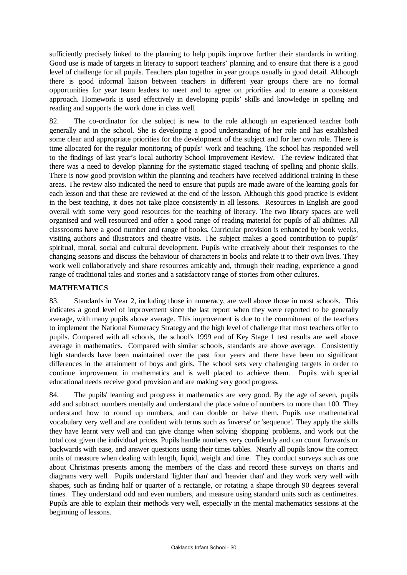sufficiently precisely linked to the planning to help pupils improve further their standards in writing. Good use is made of targets in literacy to support teachers' planning and to ensure that there is a good level of challenge for all pupils. Teachers plan together in year groups usually in good detail. Although there is good informal liaison between teachers in different year groups there are no formal opportunities for year team leaders to meet and to agree on priorities and to ensure a consistent approach. Homework is used effectively in developing pupils' skills and knowledge in spelling and reading and supports the work done in class well.

82. The co-ordinator for the subject is new to the role although an experienced teacher both generally and in the school. She is developing a good understanding of her role and has established some clear and appropriate priorities for the development of the subject and for her own role. There is time allocated for the regular monitoring of pupils' work and teaching. The school has responded well to the findings of last year's local authority School Improvement Review. The review indicated that there was a need to develop planning for the systematic staged teaching of spelling and phonic skills. There is now good provision within the planning and teachers have received additional training in these areas. The review also indicated the need to ensure that pupils are made aware of the learning goals for each lesson and that these are reviewed at the end of the lesson. Although this good practice is evident in the best teaching, it does not take place consistently in all lessons. Resources in English are good overall with some very good resources for the teaching of literacy. The two library spaces are well organised and well resourced and offer a good range of reading material for pupils of all abilities. All classrooms have a good number and range of books. Curricular provision is enhanced by book weeks, visiting authors and illustrators and theatre visits. The subject makes a good contribution to pupils' spiritual, moral, social and cultural development. Pupils write creatively about their responses to the changing seasons and discuss the behaviour of characters in books and relate it to their own lives. They work well collaboratively and share resources amicably and, through their reading, experience a good range of traditional tales and stories and a satisfactory range of stories from other cultures.

## **MATHEMATICS**

83. Standards in Year 2, including those in numeracy, are well above those in most schools. This indicates a good level of improvement since the last report when they were reported to be generally average, with many pupils above average. This improvement is due to the commitment of the teachers to implement the National Numeracy Strategy and the high level of challenge that most teachers offer to pupils. Compared with all schools, the school's 1999 end of Key Stage 1 test results are well above average in mathematics. Compared with similar schools, standards are above average. Consistently high standards have been maintained over the past four years and there have been no significant differences in the attainment of boys and girls. The school sets very challenging targets in order to continue improvement in mathematics and is well placed to achieve them. Pupils with special educational needs receive good provision and are making very good progress.

84. The pupils' learning and progress in mathematics are very good. By the age of seven, pupils add and subtract numbers mentally and understand the place value of numbers to more than 100. They understand how to round up numbers, and can double or halve them. Pupils use mathematical vocabulary very well and are confident with terms such as 'inverse' or 'sequence'. They apply the skills they have learnt very well and can give change when solving 'shopping' problems, and work out the total cost given the individual prices. Pupils handle numbers very confidently and can count forwards or backwards with ease, and answer questions using their times tables. Nearly all pupils know the correct units of measure when dealing with length, liquid, weight and time. They conduct surveys such as one about Christmas presents among the members of the class and record these surveys on charts and diagrams very well. Pupils understand 'lighter than' and 'heavier than' and they work very well with shapes, such as finding half or quarter of a rectangle, or rotating a shape through 90 degrees several times. They understand odd and even numbers, and measure using standard units such as centimetres. Pupils are able to explain their methods very well, especially in the mental mathematics sessions at the beginning of lessons.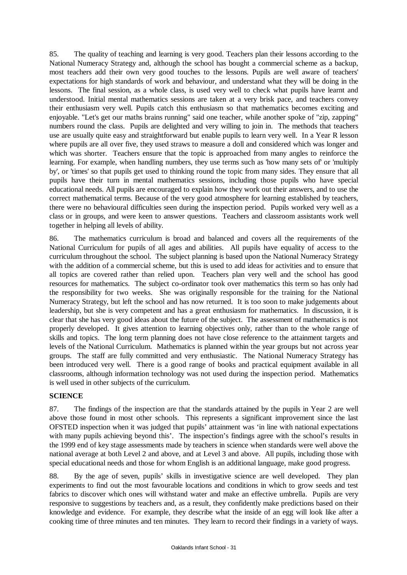85. The quality of teaching and learning is very good. Teachers plan their lessons according to the National Numeracy Strategy and, although the school has bought a commercial scheme as a backup, most teachers add their own very good touches to the lessons. Pupils are well aware of teachers' expectations for high standards of work and behaviour, and understand what they will be doing in the lessons. The final session, as a whole class, is used very well to check what pupils have learnt and understood. Initial mental mathematics sessions are taken at a very brisk pace, and teachers convey their enthusiasm very well. Pupils catch this enthusiasm so that mathematics becomes exciting and enjoyable. "Let's get our maths brains running" said one teacher, while another spoke of "zip, zapping" numbers round the class. Pupils are delighted and very willing to join in. The methods that teachers use are usually quite easy and straightforward but enable pupils to learn very well. In a Year R lesson where pupils are all over five, they used straws to measure a doll and considered which was longer and which was shorter. Teachers ensure that the topic is approached from many angles to reinforce the learning. For example, when handling numbers, they use terms such as 'how many sets of' or 'multiply by', or 'times' so that pupils get used to thinking round the topic from many sides. They ensure that all pupils have their turn in mental mathematics sessions, including those pupils who have special educational needs. All pupils are encouraged to explain how they work out their answers, and to use the correct mathematical terms. Because of the very good atmosphere for learning established by teachers, there were no behavioural difficulties seen during the inspection period. Pupils worked very well as a class or in groups, and were keen to answer questions. Teachers and classroom assistants work well together in helping all levels of ability.

86. The mathematics curriculum is broad and balanced and covers all the requirements of the National Curriculum for pupils of all ages and abilities. All pupils have equality of access to the curriculum throughout the school. The subject planning is based upon the National Numeracy Strategy with the addition of a commercial scheme, but this is used to add ideas for activities and to ensure that all topics are covered rather than relied upon. Teachers plan very well and the school has good resources for mathematics. The subject co-ordinator took over mathematics this term so has only had the responsibility for two weeks. She was originally responsible for the training for the National Numeracy Strategy, but left the school and has now returned. It is too soon to make judgements about leadership, but she is very competent and has a great enthusiasm for mathematics. In discussion, it is clear that she has very good ideas about the future of the subject. The assessment of mathematics is not properly developed. It gives attention to learning objectives only, rather than to the whole range of skills and topics. The long term planning does not have close reference to the attainment targets and levels of the National Curriculum. Mathematics is planned within the year groups but not across year groups. The staff are fully committed and very enthusiastic. The National Numeracy Strategy has been introduced very well. There is a good range of books and practical equipment available in all classrooms, although information technology was not used during the inspection period. Mathematics is well used in other subjects of the curriculum.

## **SCIENCE**

87. The findings of the inspection are that the standards attained by the pupils in Year 2 are well above those found in most other schools. This represents a significant improvement since the last OFSTED inspection when it was judged that pupils' attainment was 'in line with national expectations with many pupils achieving beyond this'. The inspection's findings agree with the school's results in the 1999 end of key stage assessments made by teachers in science when standards were well above the national average at both Level 2 and above, and at Level 3 and above. All pupils, including those with special educational needs and those for whom English is an additional language, make good progress.

88. By the age of seven, pupils' skills in investigative science are well developed. They plan experiments to find out the most favourable locations and conditions in which to grow seeds and test fabrics to discover which ones will withstand water and make an effective umbrella. Pupils are very responsive to suggestions by teachers and, as a result, they confidently make predictions based on their knowledge and evidence. For example, they describe what the inside of an egg will look like after a cooking time of three minutes and ten minutes. They learn to record their findings in a variety of ways.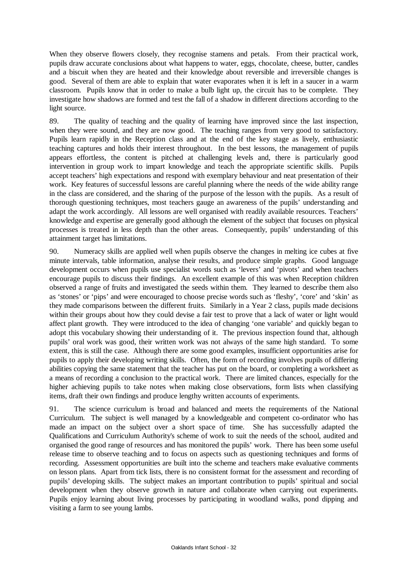When they observe flowers closely, they recognise stamens and petals. From their practical work, pupils draw accurate conclusions about what happens to water, eggs, chocolate, cheese, butter, candles and a biscuit when they are heated and their knowledge about reversible and irreversible changes is good. Several of them are able to explain that water evaporates when it is left in a saucer in a warm classroom. Pupils know that in order to make a bulb light up, the circuit has to be complete. They investigate how shadows are formed and test the fall of a shadow in different directions according to the light source.

89. The quality of teaching and the quality of learning have improved since the last inspection, when they were sound, and they are now good. The teaching ranges from very good to satisfactory. Pupils learn rapidly in the Reception class and at the end of the key stage as lively, enthusiastic teaching captures and holds their interest throughout. In the best lessons, the management of pupils appears effortless, the content is pitched at challenging levels and, there is particularly good intervention in group work to impart knowledge and teach the appropriate scientific skills. Pupils accept teachers' high expectations and respond with exemplary behaviour and neat presentation of their work. Key features of successful lessons are careful planning where the needs of the wide ability range in the class are considered, and the sharing of the purpose of the lesson with the pupils. As a result of thorough questioning techniques, most teachers gauge an awareness of the pupils' understanding and adapt the work accordingly. All lessons are well organised with readily available resources. Teachers' knowledge and expertise are generally good although the element of the subject that focuses on physical processes is treated in less depth than the other areas. Consequently, pupils' understanding of this attainment target has limitations.

90. Numeracy skills are applied well when pupils observe the changes in melting ice cubes at five minute intervals, table information, analyse their results, and produce simple graphs. Good language development occurs when pupils use specialist words such as 'levers' and 'pivots' and when teachers encourage pupils to discuss their findings. An excellent example of this was when Reception children observed a range of fruits and investigated the seeds within them. They learned to describe them also as 'stones' or 'pips' and were encouraged to choose precise words such as 'fleshy', 'core' and 'skin' as they made comparisons between the different fruits. Similarly in a Year 2 class, pupils made decisions within their groups about how they could devise a fair test to prove that a lack of water or light would affect plant growth. They were introduced to the idea of changing 'one variable' and quickly began to adopt this vocabulary showing their understanding of it. The previous inspection found that, although pupils' oral work was good, their written work was not always of the same high standard. To some extent, this is still the case. Although there are some good examples, insufficient opportunities arise for pupils to apply their developing writing skills. Often, the form of recording involves pupils of differing abilities copying the same statement that the teacher has put on the board, or completing a worksheet as a means of recording a conclusion to the practical work. There are limited chances, especially for the higher achieving pupils to take notes when making close observations, form lists when classifying items, draft their own findings and produce lengthy written accounts of experiments.

91. The science curriculum is broad and balanced and meets the requirements of the National Curriculum. The subject is well managed by a knowledgeable and competent co-ordinator who has made an impact on the subject over a short space of time. She has successfully adapted the Qualifications and Curriculum Authority's scheme of work to suit the needs of the school, audited and organised the good range of resources and has monitored the pupils' work. There has been some useful release time to observe teaching and to focus on aspects such as questioning techniques and forms of recording. Assessment opportunities are built into the scheme and teachers make evaluative comments on lesson plans. Apart from tick lists, there is no consistent format for the assessment and recording of pupils' developing skills. The subject makes an important contribution to pupils' spiritual and social development when they observe growth in nature and collaborate when carrying out experiments. Pupils enjoy learning about living processes by participating in woodland walks, pond dipping and visiting a farm to see young lambs.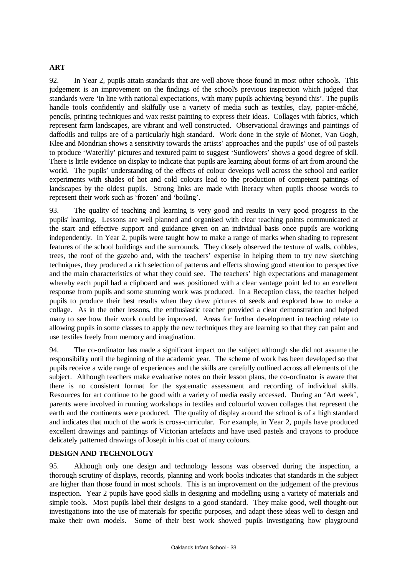### **ART**

92. In Year 2, pupils attain standards that are well above those found in most other schools. This judgement is an improvement on the findings of the school's previous inspection which judged that standards were 'in line with national expectations, with many pupils achieving beyond this'. The pupils handle tools confidently and skilfully use a variety of media such as textiles, clay, papier-mâché, pencils, printing techniques and wax resist painting to express their ideas. Collages with fabrics, which represent farm landscapes, are vibrant and well constructed. Observational drawings and paintings of daffodils and tulips are of a particularly high standard. Work done in the style of Monet, Van Gogh, Klee and Mondrian shows a sensitivity towards the artists' approaches and the pupils' use of oil pastels to produce 'Waterlily' pictures and textured paint to suggest 'Sunflowers' shows a good degree of skill. There is little evidence on display to indicate that pupils are learning about forms of art from around the world. The pupils' understanding of the effects of colour develops well across the school and earlier experiments with shades of hot and cold colours lead to the production of competent paintings of landscapes by the oldest pupils. Strong links are made with literacy when pupils choose words to represent their work such as 'frozen' and 'boiling'.

93. The quality of teaching and learning is very good and results in very good progress in the pupils' learning. Lessons are well planned and organised with clear teaching points communicated at the start and effective support and guidance given on an individual basis once pupils are working independently. In Year 2, pupils were taught how to make a range of marks when shading to represent features of the school buildings and the surrounds. They closely observed the texture of walls, cobbles, trees, the roof of the gazebo and, with the teachers' expertise in helping them to try new sketching techniques, they produced a rich selection of patterns and effects showing good attention to perspective and the main characteristics of what they could see. The teachers' high expectations and management whereby each pupil had a clipboard and was positioned with a clear vantage point led to an excellent response from pupils and some stunning work was produced. In a Reception class, the teacher helped pupils to produce their best results when they drew pictures of seeds and explored how to make a collage. As in the other lessons, the enthusiastic teacher provided a clear demonstration and helped many to see how their work could be improved. Areas for further development in teaching relate to allowing pupils in some classes to apply the new techniques they are learning so that they can paint and use textiles freely from memory and imagination.

94. The co-ordinator has made a significant impact on the subject although she did not assume the responsibility until the beginning of the academic year. The scheme of work has been developed so that pupils receive a wide range of experiences and the skills are carefully outlined across all elements of the subject. Although teachers make evaluative notes on their lesson plans, the co-ordinator is aware that there is no consistent format for the systematic assessment and recording of individual skills. Resources for art continue to be good with a variety of media easily accessed. During an 'Art week', parents were involved in running workshops in textiles and colourful woven collages that represent the earth and the continents were produced. The quality of display around the school is of a high standard and indicates that much of the work is cross-curricular. For example, in Year 2, pupils have produced excellent drawings and paintings of Victorian artefacts and have used pastels and crayons to produce delicately patterned drawings of Joseph in his coat of many colours.

### **DESIGN AND TECHNOLOGY**

95. Although only one design and technology lessons was observed during the inspection, a thorough scrutiny of displays, records, planning and work books indicates that standards in the subject are higher than those found in most schools. This is an improvement on the judgement of the previous inspection. Year 2 pupils have good skills in designing and modelling using a variety of materials and simple tools. Most pupils label their designs to a good standard. They make good, well thought-out investigations into the use of materials for specific purposes, and adapt these ideas well to design and make their own models. Some of their best work showed pupils investigating how playground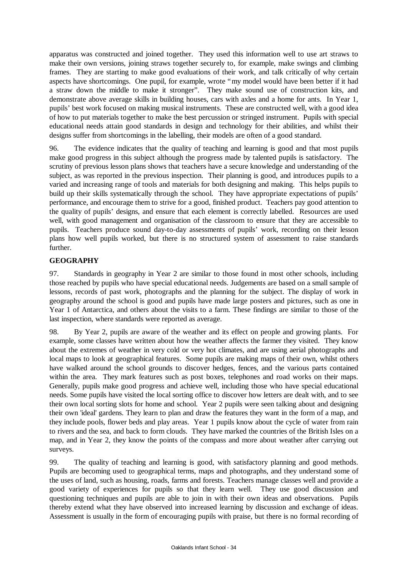apparatus was constructed and joined together. They used this information well to use art straws to make their own versions, joining straws together securely to, for example, make swings and climbing frames. They are starting to make good evaluations of their work, and talk critically of why certain aspects have shortcomings. One pupil, for example, wrote "my model would have been better if it had a straw down the middle to make it stronger". They make sound use of construction kits, and demonstrate above average skills in building houses, cars with axles and a home for ants. In Year 1, pupils' best work focused on making musical instruments. These are constructed well, with a good idea of how to put materials together to make the best percussion or stringed instrument. Pupils with special educational needs attain good standards in design and technology for their abilities, and whilst their designs suffer from shortcomings in the labelling, their models are often of a good standard.

96. The evidence indicates that the quality of teaching and learning is good and that most pupils make good progress in this subject although the progress made by talented pupils is satisfactory. The scrutiny of previous lesson plans shows that teachers have a secure knowledge and understanding of the subject, as was reported in the previous inspection. Their planning is good, and introduces pupils to a varied and increasing range of tools and materials for both designing and making. This helps pupils to build up their skills systematically through the school. They have appropriate expectations of pupils' performance, and encourage them to strive for a good, finished product. Teachers pay good attention to the quality of pupils' designs, and ensure that each element is correctly labelled. Resources are used well, with good management and organisation of the classroom to ensure that they are accessible to pupils. Teachers produce sound day-to-day assessments of pupils' work, recording on their lesson plans how well pupils worked, but there is no structured system of assessment to raise standards further.

## **GEOGRAPHY**

97. Standards in geography in Year 2 are similar to those found in most other schools, including those reached by pupils who have special educational needs. Judgements are based on a small sample of lessons, records of past work, photographs and the planning for the subject. The display of work in geography around the school is good and pupils have made large posters and pictures, such as one in Year 1 of Antarctica, and others about the visits to a farm. These findings are similar to those of the last inspection, where standards were reported as average.

98. By Year 2, pupils are aware of the weather and its effect on people and growing plants. For example, some classes have written about how the weather affects the farmer they visited. They know about the extremes of weather in very cold or very hot climates, and are using aerial photographs and local maps to look at geographical features. Some pupils are making maps of their own, whilst others have walked around the school grounds to discover hedges, fences, and the various parts contained within the area. They mark features such as post boxes, telephones and road works on their maps. Generally, pupils make good progress and achieve well, including those who have special educational needs. Some pupils have visited the local sorting office to discover how letters are dealt with, and to see their own local sorting slots for home and school. Year 2 pupils were seen talking about and designing their own 'ideal' gardens. They learn to plan and draw the features they want in the form of a map, and they include pools, flower beds and play areas. Year 1 pupils know about the cycle of water from rain to rivers and the sea, and back to form clouds. They have marked the countries of the British Isles on a map, and in Year 2, they know the points of the compass and more about weather after carrying out surveys.

99. The quality of teaching and learning is good, with satisfactory planning and good methods. Pupils are becoming used to geographical terms, maps and photographs, and they understand some of the uses of land, such as housing, roads, farms and forests. Teachers manage classes well and provide a good variety of experiences for pupils so that they learn well. They use good discussion and questioning techniques and pupils are able to join in with their own ideas and observations. Pupils thereby extend what they have observed into increased learning by discussion and exchange of ideas. Assessment is usually in the form of encouraging pupils with praise, but there is no formal recording of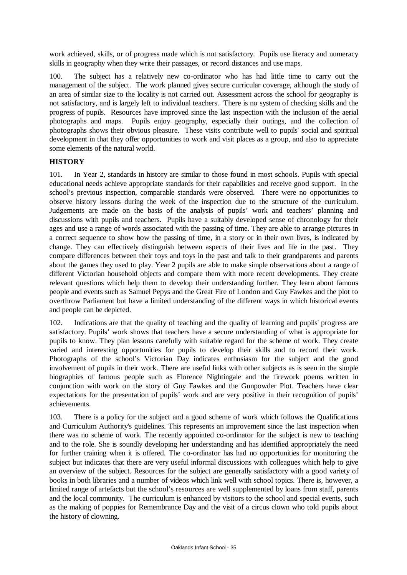work achieved, skills, or of progress made which is not satisfactory. Pupils use literacy and numeracy skills in geography when they write their passages, or record distances and use maps.

100. The subject has a relatively new co-ordinator who has had little time to carry out the management of the subject. The work planned gives secure curricular coverage, although the study of an area of similar size to the locality is not carried out. Assessment across the school for geography is not satisfactory, and is largely left to individual teachers. There is no system of checking skills and the progress of pupils. Resources have improved since the last inspection with the inclusion of the aerial photographs and maps. Pupils enjoy geography, especially their outings, and the collection of photographs shows their obvious pleasure. These visits contribute well to pupils' social and spiritual development in that they offer opportunities to work and visit places as a group, and also to appreciate some elements of the natural world.

### **HISTORY**

101. In Year 2, standards in history are similar to those found in most schools. Pupils with special educational needs achieve appropriate standards for their capabilities and receive good support. In the school's previous inspection, comparable standards were observed. There were no opportunities to observe history lessons during the week of the inspection due to the structure of the curriculum. Judgements are made on the basis of the analysis of pupils' work and teachers' planning and discussions with pupils and teachers. Pupils have a suitably developed sense of chronology for their ages and use a range of words associated with the passing of time. They are able to arrange pictures in a correct sequence to show how the passing of time, in a story or in their own lives, is indicated by change. They can effectively distinguish between aspects of their lives and life in the past. They compare differences between their toys and toys in the past and talk to their grandparents and parents about the games they used to play. Year 2 pupils are able to make simple observations about a range of different Victorian household objects and compare them with more recent developments. They create relevant questions which help them to develop their understanding further. They learn about famous people and events such as Samuel Pepys and the Great Fire of London and Guy Fawkes and the plot to overthrow Parliament but have a limited understanding of the different ways in which historical events and people can be depicted.

102. Indications are that the quality of teaching and the quality of learning and pupils' progress are satisfactory. Pupils' work shows that teachers have a secure understanding of what is appropriate for pupils to know. They plan lessons carefully with suitable regard for the scheme of work. They create varied and interesting opportunities for pupils to develop their skills and to record their work. Photographs of the school's Victorian Day indicates enthusiasm for the subject and the good involvement of pupils in their work. There are useful links with other subjects as is seen in the simple biographies of famous people such as Florence Nightingale and the firework poems written in conjunction with work on the story of Guy Fawkes and the Gunpowder Plot. Teachers have clear expectations for the presentation of pupils' work and are very positive in their recognition of pupils' achievements.

103. There is a policy for the subject and a good scheme of work which follows the Qualifications and Curriculum Authority's guidelines. This represents an improvement since the last inspection when there was no scheme of work. The recently appointed co-ordinator for the subject is new to teaching and to the role. She is soundly developing her understanding and has identified appropriately the need for further training when it is offered. The co-ordinator has had no opportunities for monitoring the subject but indicates that there are very useful informal discussions with colleagues which help to give an overview of the subject. Resources for the subject are generally satisfactory with a good variety of books in both libraries and a number of videos which link well with school topics. There is, however, a limited range of artefacts but the school's resources are well supplemented by loans from staff, parents and the local community. The curriculum is enhanced by visitors to the school and special events, such as the making of poppies for Remembrance Day and the visit of a circus clown who told pupils about the history of clowning.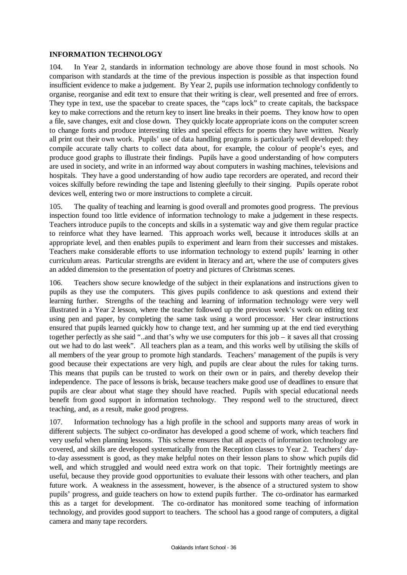### **INFORMATION TECHNOLOGY**

104. In Year 2, standards in information technology are above those found in most schools. No comparison with standards at the time of the previous inspection is possible as that inspection found insufficient evidence to make a judgement. By Year 2, pupils use information technology confidently to organise, reorganise and edit text to ensure that their writing is clear, well presented and free of errors. They type in text, use the spacebar to create spaces, the "caps lock" to create capitals, the backspace key to make corrections and the return key to insert line breaks in their poems. They know how to open a file, save changes, exit and close down. They quickly locate appropriate icons on the computer screen to change fonts and produce interesting titles and special effects for poems they have written. Nearly all print out their own work. Pupils' use of data handling programs is particularly well developed: they compile accurate tally charts to collect data about, for example, the colour of people's eyes, and produce good graphs to illustrate their findings. Pupils have a good understanding of how computers are used in society, and write in an informed way about computers in washing machines, televisions and hospitals. They have a good understanding of how audio tape recorders are operated, and record their voices skilfully before rewinding the tape and listening gleefully to their singing. Pupils operate robot devices well, entering two or more instructions to complete a circuit.

105. The quality of teaching and learning is good overall and promotes good progress. The previous inspection found too little evidence of information technology to make a judgement in these respects. Teachers introduce pupils to the concepts and skills in a systematic way and give them regular practice to reinforce what they have learned. This approach works well, because it introduces skills at an appropriate level, and then enables pupils to experiment and learn from their successes and mistakes. Teachers make considerable efforts to use information technology to extend pupils' learning in other curriculum areas. Particular strengths are evident in literacy and art, where the use of computers gives an added dimension to the presentation of poetry and pictures of Christmas scenes.

106. Teachers show secure knowledge of the subject in their explanations and instructions given to pupils as they use the computers. This gives pupils confidence to ask questions and extend their learning further. Strengths of the teaching and learning of information technology were very well illustrated in a Year 2 lesson, where the teacher followed up the previous week's work on editing text using pen and paper, by completing the same task using a word processor. Her clear instructions ensured that pupils learned quickly how to change text, and her summing up at the end tied everything together perfectly as she said "..and that's why we use computers for this job – it saves all that crossing out we had to do last week". All teachers plan as a team, and this works well by utilising the skills of all members of the year group to promote high standards. Teachers' management of the pupils is very good because their expectations are very high, and pupils are clear about the rules for taking turns. This means that pupils can be trusted to work on their own or in pairs, and thereby develop their independence. The pace of lessons is brisk, because teachers make good use of deadlines to ensure that pupils are clear about what stage they should have reached. Pupils with special educational needs benefit from good support in information technology. They respond well to the structured, direct teaching, and, as a result, make good progress.

107. Information technology has a high profile in the school and supports many areas of work in different subjects. The subject co-ordinator has developed a good scheme of work, which teachers find very useful when planning lessons. This scheme ensures that all aspects of information technology are covered, and skills are developed systematically from the Reception classes to Year 2. Teachers' dayto-day assessment is good, as they make helpful notes on their lesson plans to show which pupils did well, and which struggled and would need extra work on that topic. Their fortnightly meetings are useful, because they provide good opportunities to evaluate their lessons with other teachers, and plan future work. A weakness in the assessment, however, is the absence of a structured system to show pupils' progress, and guide teachers on how to extend pupils further. The co-ordinator has earmarked this as a target for development. The co-ordinator has monitored some teaching of information technology, and provides good support to teachers. The school has a good range of computers, a digital camera and many tape recorders.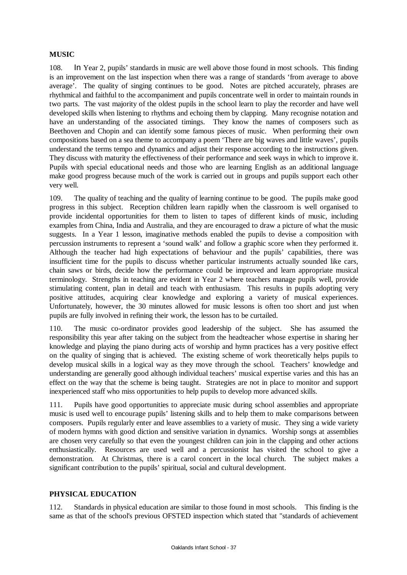### **MUSIC**

108. In Year 2, pupils' standards in music are well above those found in most schools. This finding is an improvement on the last inspection when there was a range of standards 'from average to above average'. The quality of singing continues to be good. Notes are pitched accurately, phrases are rhythmical and faithful to the accompaniment and pupils concentrate well in order to maintain rounds in two parts. The vast majority of the oldest pupils in the school learn to play the recorder and have well developed skills when listening to rhythms and echoing them by clapping. Many recognise notation and have an understanding of the associated timings. They know the names of composers such as Beethoven and Chopin and can identify some famous pieces of music. When performing their own compositions based on a sea theme to accompany a poem 'There are big waves and little waves', pupils understand the terms tempo and dynamics and adjust their response according to the instructions given. They discuss with maturity the effectiveness of their performance and seek ways in which to improve it. Pupils with special educational needs and those who are learning English as an additional language make good progress because much of the work is carried out in groups and pupils support each other very well.

109. The quality of teaching and the quality of learning continue to be good. The pupils make good progress in this subject. Reception children learn rapidly when the classroom is well organised to provide incidental opportunities for them to listen to tapes of different kinds of music, including examples from China, India and Australia, and they are encouraged to draw a picture of what the music suggests. In a Year 1 lesson, imaginative methods enabled the pupils to devise a composition with percussion instruments to represent a 'sound walk' and follow a graphic score when they performed it. Although the teacher had high expectations of behaviour and the pupils' capabilities, there was insufficient time for the pupils to discuss whether particular instruments actually sounded like cars, chain saws or birds, decide how the performance could be improved and learn appropriate musical terminology. Strengths in teaching are evident in Year 2 where teachers manage pupils well, provide stimulating content, plan in detail and teach with enthusiasm. This results in pupils adopting very positive attitudes, acquiring clear knowledge and exploring a variety of musical experiences. Unfortunately, however, the 30 minutes allowed for music lessons is often too short and just when pupils are fully involved in refining their work, the lesson has to be curtailed.

110. The music co-ordinator provides good leadership of the subject. She has assumed the responsibility this year after taking on the subject from the headteacher whose expertise in sharing her knowledge and playing the piano during acts of worship and hymn practices has a very positive effect on the quality of singing that is achieved. The existing scheme of work theoretically helps pupils to develop musical skills in a logical way as they move through the school. Teachers' knowledge and understanding are generally good although individual teachers' musical expertise varies and this has an effect on the way that the scheme is being taught. Strategies are not in place to monitor and support inexperienced staff who miss opportunities to help pupils to develop more advanced skills.

111. Pupils have good opportunities to appreciate music during school assemblies and appropriate music is used well to encourage pupils' listening skills and to help them to make comparisons between composers. Pupils regularly enter and leave assemblies to a variety of music. They sing a wide variety of modern hymns with good diction and sensitive variation in dynamics. Worship songs at assemblies are chosen very carefully so that even the youngest children can join in the clapping and other actions enthusiastically. Resources are used well and a percussionist has visited the school to give a demonstration. At Christmas, there is a carol concert in the local church. The subject makes a significant contribution to the pupils' spiritual, social and cultural development.

### **PHYSICAL EDUCATION**

112. Standards in physical education are similar to those found in most schools. This finding is the same as that of the school's previous OFSTED inspection which stated that "standards of achievement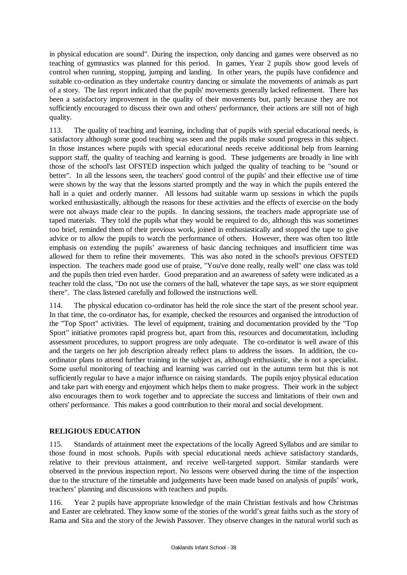in physical education are sound". During the inspection, only dancing and games were observed as no teaching of gymnastics was planned for this period. In games, Year 2 pupils show good levels of control when running, stopping, jumping and landing. In other years, the pupils have confidence and suitable co-ordination as they undertake country dancing or simulate the movements of animals as part of a story. The last report indicated that the pupils' movements generally lacked refinement. There has been a satisfactory improvement in the quality of their movements but, partly because they are not sufficiently encouraged to discuss their own and others' performance, their actions are still not of high quality.

113. The quality of teaching and learning, including that of pupils with special educational needs, is satisfactory although some good teaching was seen and the pupils make sound progress in this subject. In those instances where pupils with special educational needs receive additional help from learning support staff, the quality of teaching and learning is good. These judgements are broadly in line with those of the school's last OFSTED inspection which judged the quality of teaching to be "sound or better". In all the lessons seen, the teachers' good control of the pupils' and their effective use of time were shown by the way that the lessons started promptly and the way in which the pupils entered the hall in a quiet and orderly manner. All lessons had suitable warm up sessions in which the pupils worked enthusiastically, although the reasons for these activities and the effects of exercise on the body were not always made clear to the pupils. In dancing sessions, the teachers made appropriate use of taped materials. They told the pupils what they would be required to do, although this was sometimes too brief, reminded them of their previous work, joined in enthusiastically and stopped the tape to give advice or to allow the pupils to watch the performance of others. However, there was often too little emphasis on extending the pupils' awareness of basic dancing techniques and insufficient time was allowed for them to refine their movements. This was also noted in the school's previous OFSTED inspection. The teachers made good use of praise, "You've done really, really well" one class was told and the pupils then tried even harder. Good preparation and an awareness of safety were indicated as a teacher told the class, "Do not use the corners of the hall, whatever the tape says, as we store equipment there". The class listened carefully and followed the instructions well.

114. The physical education co-ordinator has held the role since the start of the present school year. In that time, the co-ordinator has, for example, checked the resources and organised the introduction of the "Top Sport" activities. The level of equipment, training and documentation provided by the "Top Sport" initiative promotes rapid progress but, apart from this, resources and documentation, including assessment procedures, to support progress are only adequate. The co-ordinator is well aware of this and the targets on her job description already reflect plans to address the issues. In addition, the coordinator plans to attend further training in the subject as, although enthusiastic, she is not a specialist. Some useful monitoring of teaching and learning was carried out in the autumn term but this is not sufficiently regular to have a major influence on raising standards. The pupils enjoy physical education and take part with energy and enjoyment which helps them to make progress. Their work in the subject also encourages them to work together and to appreciate the success and limitations of their own and others' performance. This makes a good contribution to their moral and social development.

## **RELIGIOUS EDUCATION**

115. Standards of attainment meet the expectations of the locally Agreed Syllabus and are similar to those found in most schools. Pupils with special educational needs achieve satisfactory standards, relative to their previous attainment, and receive well-targeted support. Similar standards were observed in the previous inspection report. No lessons were observed during the time of the inspection due to the structure of the timetable and judgements have been made based on analysis of pupils' work, teachers' planning and discussions with teachers and pupils.

116. Year 2 pupils have appropriate knowledge of the main Christian festivals and how Christmas and Easter are celebrated. They know some of the stories of the world's great faiths such as the story of Rama and Sita and the story of the Jewish Passover. They observe changes in the natural world such as